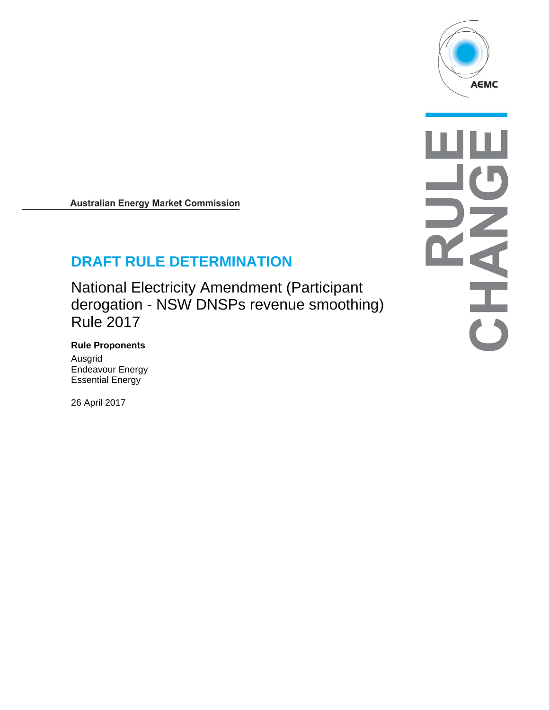

 $\overline{\mathbf{d}}$  $\frac{1}{\binom{3}{2}}$ 

**Australian Energy Market Commission** 

# **DRAFT RULE DETERMINATION**

National Electricity Amendment (Participant derogation - NSW DNSPs revenue smoothing) Rule 2017

## **Rule Proponents**

Ausgrid Endeavour Energy Essential Energy

26 April 2017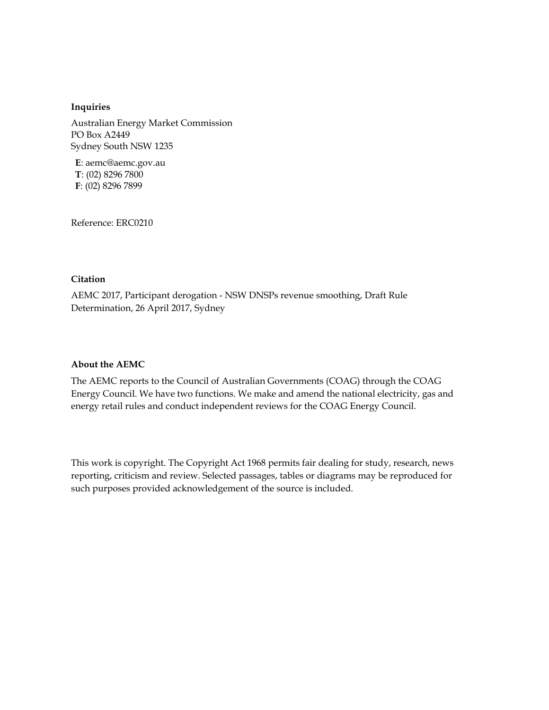#### **Inquiries**

Australian Energy Market Commission PO Box A2449 Sydney South NSW 1235

**E**: aemc@aemc.gov.au **T**: (02) 8296 7800 **F**: (02) 8296 7899

Reference: ERC0210

#### **Citation**

AEMC 2017, Participant derogation - NSW DNSPs revenue smoothing, Draft Rule Determination, 26 April 2017, Sydney

#### **About the AEMC**

The AEMC reports to the Council of Australian Governments (COAG) through the COAG Energy Council. We have two functions. We make and amend the national electricity, gas and energy retail rules and conduct independent reviews for the COAG Energy Council.

This work is copyright. The Copyright Act 1968 permits fair dealing for study, research, news reporting, criticism and review. Selected passages, tables or diagrams may be reproduced for such purposes provided acknowledgement of the source is included.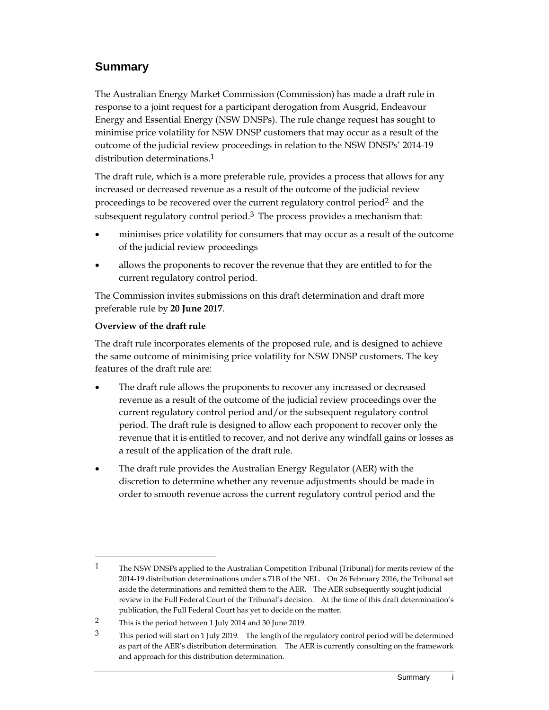## **Summary**

The Australian Energy Market Commission (Commission) has made a draft rule in response to a joint request for a participant derogation from Ausgrid, Endeavour Energy and Essential Energy (NSW DNSPs). The rule change request has sought to minimise price volatility for NSW DNSP customers that may occur as a result of the outcome of the judicial review proceedings in relation to the NSW DNSPs' 2014-19 distribution determinations.<sup>1</sup>

The draft rule, which is a more preferable rule, provides a process that allows for any increased or decreased revenue as a result of the outcome of the judicial review proceedings to be recovered over the current regulatory control period2 and the subsequent regulatory control period.<sup>3</sup> The process provides a mechanism that:

- minimises price volatility for consumers that may occur as a result of the outcome of the judicial review proceedings
- allows the proponents to recover the revenue that they are entitled to for the current regulatory control period.

The Commission invites submissions on this draft determination and draft more preferable rule by **20 June 2017**.

#### **Overview of the draft rule**

 $\overline{a}$ 

The draft rule incorporates elements of the proposed rule, and is designed to achieve the same outcome of minimising price volatility for NSW DNSP customers. The key features of the draft rule are:

- The draft rule allows the proponents to recover any increased or decreased revenue as a result of the outcome of the judicial review proceedings over the current regulatory control period and/or the subsequent regulatory control period. The draft rule is designed to allow each proponent to recover only the revenue that it is entitled to recover, and not derive any windfall gains or losses as a result of the application of the draft rule.
- The draft rule provides the Australian Energy Regulator (AER) with the discretion to determine whether any revenue adjustments should be made in order to smooth revenue across the current regulatory control period and the

<sup>1</sup> The NSW DNSPs applied to the Australian Competition Tribunal (Tribunal) for merits review of the 2014-19 distribution determinations under s.71B of the NEL. On 26 February 2016, the Tribunal set aside the determinations and remitted them to the AER. The AER subsequently sought judicial review in the Full Federal Court of the Tribunal's decision. At the time of this draft determination's publication, the Full Federal Court has yet to decide on the matter.

<sup>2</sup> This is the period between 1 July 2014 and 30 June 2019.

<sup>&</sup>lt;sup>3</sup> This period will start on 1 July 2019. The length of the regulatory control period will be determined as part of the AER's distribution determination. The AER is currently consulting on the framework and approach for this distribution determination.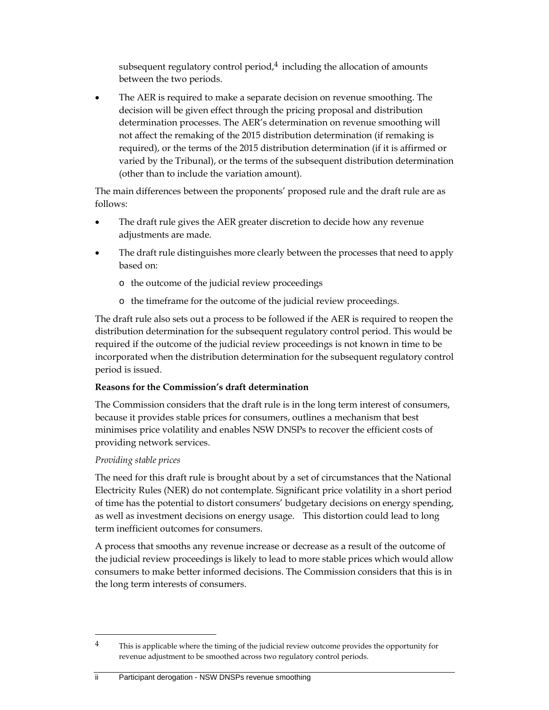subsequent regulatory control period, $4$  including the allocation of amounts between the two periods.

 The AER is required to make a separate decision on revenue smoothing. The decision will be given effect through the pricing proposal and distribution determination processes. The AER's determination on revenue smoothing will not affect the remaking of the 2015 distribution determination (if remaking is required), or the terms of the 2015 distribution determination (if it is affirmed or varied by the Tribunal), or the terms of the subsequent distribution determination (other than to include the variation amount).

The main differences between the proponents' proposed rule and the draft rule are as follows:

- The draft rule gives the AER greater discretion to decide how any revenue adjustments are made.
- The draft rule distinguishes more clearly between the processes that need to apply based on:
	- o the outcome of the judicial review proceedings
	- o the timeframe for the outcome of the judicial review proceedings.

The draft rule also sets out a process to be followed if the AER is required to reopen the distribution determination for the subsequent regulatory control period. This would be required if the outcome of the judicial review proceedings is not known in time to be incorporated when the distribution determination for the subsequent regulatory control period is issued.

#### **Reasons for the Commission's draft determination**

The Commission considers that the draft rule is in the long term interest of consumers, because it provides stable prices for consumers, outlines a mechanism that best minimises price volatility and enables NSW DNSPs to recover the efficient costs of providing network services.

#### *Providing stable prices*

 $\overline{a}$ 

The need for this draft rule is brought about by a set of circumstances that the National Electricity Rules (NER) do not contemplate. Significant price volatility in a short period of time has the potential to distort consumers' budgetary decisions on energy spending, as well as investment decisions on energy usage. This distortion could lead to long term inefficient outcomes for consumers.

A process that smooths any revenue increase or decrease as a result of the outcome of the judicial review proceedings is likely to lead to more stable prices which would allow consumers to make better informed decisions. The Commission considers that this is in the long term interests of consumers.

<sup>&</sup>lt;sup>4</sup> This is applicable where the timing of the judicial review outcome provides the opportunity for revenue adjustment to be smoothed across two regulatory control periods.

ii Participant derogation - NSW DNSPs revenue smoothing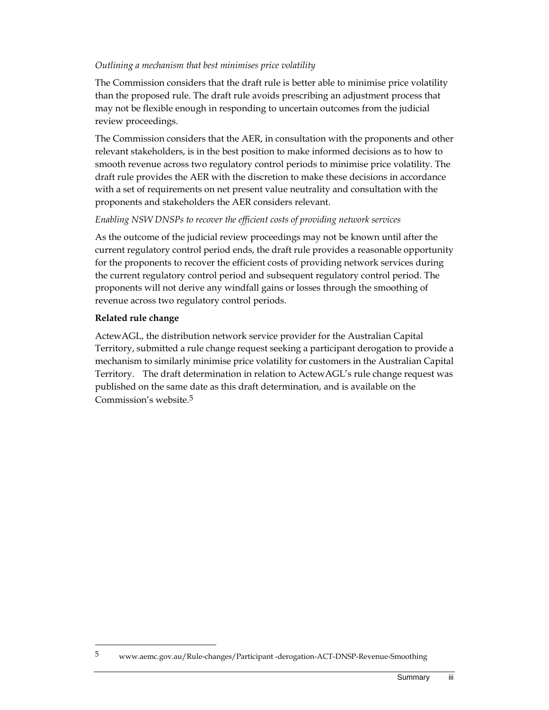#### *Outlining a mechanism that best minimises price volatility*

The Commission considers that the draft rule is better able to minimise price volatility than the proposed rule. The draft rule avoids prescribing an adjustment process that may not be flexible enough in responding to uncertain outcomes from the judicial review proceedings.

The Commission considers that the AER, in consultation with the proponents and other relevant stakeholders, is in the best position to make informed decisions as to how to smooth revenue across two regulatory control periods to minimise price volatility. The draft rule provides the AER with the discretion to make these decisions in accordance with a set of requirements on net present value neutrality and consultation with the proponents and stakeholders the AER considers relevant.

#### *Enabling NSW DNSPs to recover the efficient costs of providing network services*

As the outcome of the judicial review proceedings may not be known until after the current regulatory control period ends, the draft rule provides a reasonable opportunity for the proponents to recover the efficient costs of providing network services during the current regulatory control period and subsequent regulatory control period. The proponents will not derive any windfall gains or losses through the smoothing of revenue across two regulatory control periods.

#### **Related rule change**

 $\overline{a}$ 

ActewAGL, the distribution network service provider for the Australian Capital Territory, submitted a rule change request seeking a participant derogation to provide a mechanism to similarly minimise price volatility for customers in the Australian Capital Territory. The draft determination in relation to ActewAGL's rule change request was published on the same date as this draft determination, and is available on the Commission's website.5

<sup>5</sup> www.aemc.gov.au/Rule-changes/Participant -derogation-ACT-DNSP-Revenue-Smoothing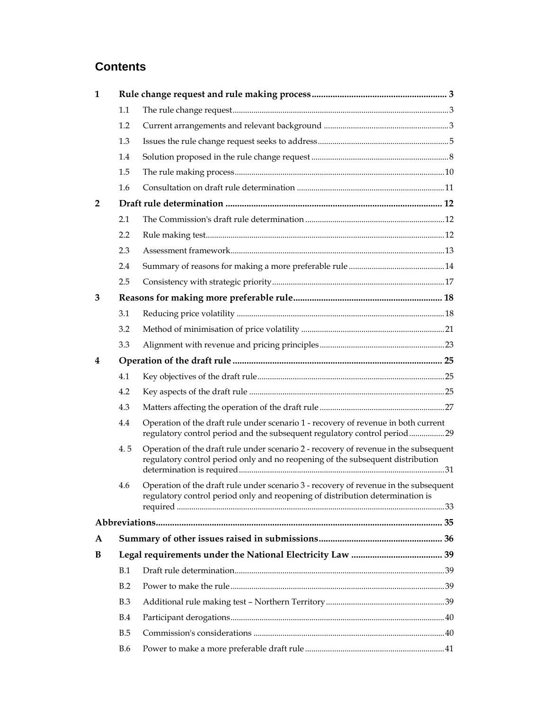# **Contents**

| $\mathbf{1}$ |            |                                                                                                                                                                        |  |
|--------------|------------|------------------------------------------------------------------------------------------------------------------------------------------------------------------------|--|
|              | 1.1        |                                                                                                                                                                        |  |
|              | 1.2        |                                                                                                                                                                        |  |
|              | 1.3        |                                                                                                                                                                        |  |
|              | 1.4        |                                                                                                                                                                        |  |
|              | 1.5        |                                                                                                                                                                        |  |
|              | 1.6        |                                                                                                                                                                        |  |
| 2            |            |                                                                                                                                                                        |  |
|              | 2.1        |                                                                                                                                                                        |  |
|              | 2.2        |                                                                                                                                                                        |  |
|              | 2.3        |                                                                                                                                                                        |  |
|              | 2.4        |                                                                                                                                                                        |  |
|              | 2.5        |                                                                                                                                                                        |  |
| 3            |            |                                                                                                                                                                        |  |
|              | 3.1        |                                                                                                                                                                        |  |
|              | 3.2        |                                                                                                                                                                        |  |
|              | 3.3        |                                                                                                                                                                        |  |
| 4            |            |                                                                                                                                                                        |  |
|              | 4.1        |                                                                                                                                                                        |  |
|              | 4.2        |                                                                                                                                                                        |  |
|              | 4.3        |                                                                                                                                                                        |  |
|              | 4.4        | Operation of the draft rule under scenario 1 - recovery of revenue in both current<br>regulatory control period and the subsequent regulatory control period29         |  |
|              | 4.5        | Operation of the draft rule under scenario 2 - recovery of revenue in the subsequent<br>regulatory control period only and no reopening of the subsequent distribution |  |
|              | 4.6        | Operation of the draft rule under scenario 3 - recovery of revenue in the subsequent<br>regulatory control period only and reopening of distribution determination is  |  |
|              |            |                                                                                                                                                                        |  |
| $\mathbf{A}$ |            |                                                                                                                                                                        |  |
| B            |            |                                                                                                                                                                        |  |
|              | B.1        |                                                                                                                                                                        |  |
|              | B.2        |                                                                                                                                                                        |  |
|              | B.3        |                                                                                                                                                                        |  |
|              | B.4        |                                                                                                                                                                        |  |
|              | B.5        |                                                                                                                                                                        |  |
|              | <b>B.6</b> |                                                                                                                                                                        |  |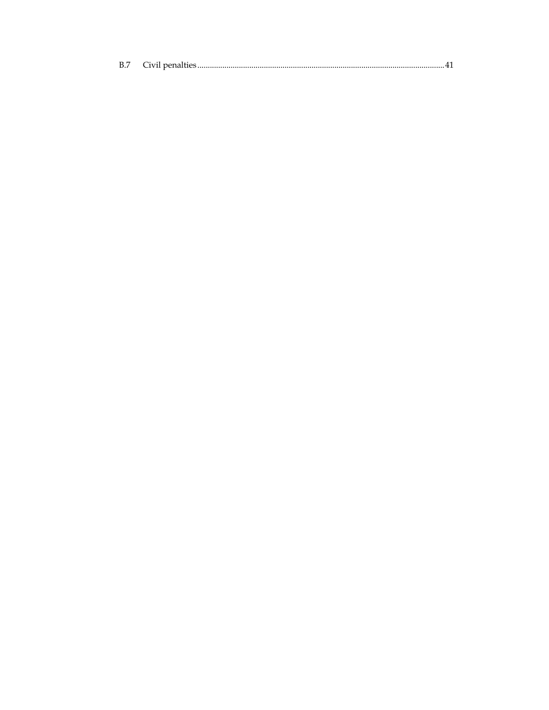| B.7 |  |  |
|-----|--|--|
|-----|--|--|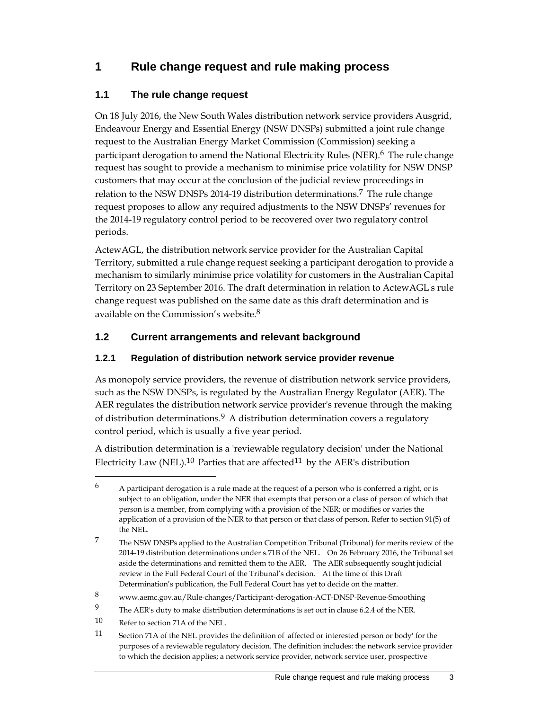# **1 Rule change request and rule making process**

## **1.1 The rule change request**

On 18 July 2016, the New South Wales distribution network service providers Ausgrid, Endeavour Energy and Essential Energy (NSW DNSPs) submitted a joint rule change request to the Australian Energy Market Commission (Commission) seeking a participant derogation to amend the National Electricity Rules (NER).<sup>6</sup> The rule change request has sought to provide a mechanism to minimise price volatility for NSW DNSP customers that may occur at the conclusion of the judicial review proceedings in relation to the NSW DNSPs 2014-19 distribution determinations.7 The rule change request proposes to allow any required adjustments to the NSW DNSPs' revenues for the 2014-19 regulatory control period to be recovered over two regulatory control periods.

ActewAGL, the distribution network service provider for the Australian Capital Territory, submitted a rule change request seeking a participant derogation to provide a mechanism to similarly minimise price volatility for customers in the Australian Capital Territory on 23 September 2016. The draft determination in relation to ActewAGL's rule change request was published on the same date as this draft determination and is available on the Commission's website.8

## **1.2 Current arrangements and relevant background**

## **1.2.1 Regulation of distribution network service provider revenue**

As monopoly service providers, the revenue of distribution network service providers, such as the NSW DNSPs, is regulated by the Australian Energy Regulator (AER). The AER regulates the distribution network service provider's revenue through the making of distribution determinations.<sup>9</sup> A distribution determination covers a regulatory control period, which is usually a five year period.

A distribution determination is a 'reviewable regulatory decision' under the National Electricity Law (NEL).<sup>10</sup> Parties that are affected<sup>11</sup> by the AER's distribution

10 Refer to section 71A of the NEL.

 $\overline{a}$ 

11 Section 71A of the NEL provides the definition of 'affected or interested person or body' for the purposes of a reviewable regulatory decision. The definition includes: the network service provider to which the decision applies; a network service provider, network service user, prospective

 $6$  A participant derogation is a rule made at the request of a person who is conferred a right, or is subject to an obligation, under the NER that exempts that person or a class of person of which that person is a member, from complying with a provision of the NER; or modifies or varies the application of a provision of the NER to that person or that class of person. Refer to section 91(5) of the NEL.

<sup>7</sup> The NSW DNSPs applied to the Australian Competition Tribunal (Tribunal) for merits review of the 2014-19 distribution determinations under s.71B of the NEL. On 26 February 2016, the Tribunal set aside the determinations and remitted them to the AER. The AER subsequently sought judicial review in the Full Federal Court of the Tribunal's decision. At the time of this Draft Determination's publication, the Full Federal Court has yet to decide on the matter.

<sup>8</sup> www.aemc.gov.au/Rule-changes/Participant-derogation-ACT-DNSP-Revenue-Smoothing

<sup>9</sup> The AER's duty to make distribution determinations is set out in clause 6.2.4 of the NER.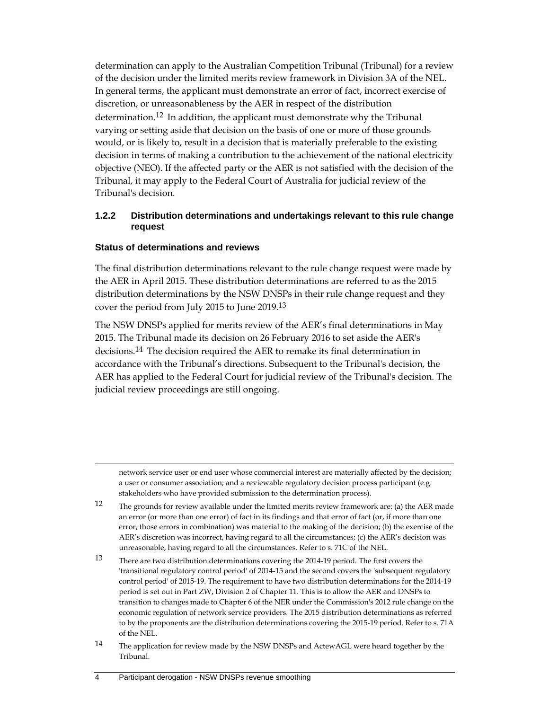determination can apply to the Australian Competition Tribunal (Tribunal) for a review of the decision under the limited merits review framework in Division 3A of the NEL. In general terms, the applicant must demonstrate an error of fact, incorrect exercise of discretion, or unreasonableness by the AER in respect of the distribution determination.12 In addition, the applicant must demonstrate why the Tribunal varying or setting aside that decision on the basis of one or more of those grounds would, or is likely to, result in a decision that is materially preferable to the existing decision in terms of making a contribution to the achievement of the national electricity objective (NEO). If the affected party or the AER is not satisfied with the decision of the Tribunal, it may apply to the Federal Court of Australia for judicial review of the Tribunal's decision.

#### **1.2.2 Distribution determinations and undertakings relevant to this rule change request**

#### **Status of determinations and reviews**

 $\overline{a}$ 

The final distribution determinations relevant to the rule change request were made by the AER in April 2015. These distribution determinations are referred to as the 2015 distribution determinations by the NSW DNSPs in their rule change request and they cover the period from July 2015 to June 2019.13

The NSW DNSPs applied for merits review of the AER's final determinations in May 2015. The Tribunal made its decision on 26 February 2016 to set aside the AER's decisions.14 The decision required the AER to remake its final determination in accordance with the Tribunal's directions. Subsequent to the Tribunal's decision, the AER has applied to the Federal Court for judicial review of the Tribunal's decision. The judicial review proceedings are still ongoing.

network service user or end user whose commercial interest are materially affected by the decision; a user or consumer association; and a reviewable regulatory decision process participant (e.g. stakeholders who have provided submission to the determination process).

12 The grounds for review available under the limited merits review framework are: (a) the AER made an error (or more than one error) of fact in its findings and that error of fact (or, if more than one error, those errors in combination) was material to the making of the decision; (b) the exercise of the AER's discretion was incorrect, having regard to all the circumstances; (c) the AER's decision was unreasonable, having regard to all the circumstances. Refer to s. 71C of the NEL.

13 There are two distribution determinations covering the 2014-19 period. The first covers the 'transitional regulatory control period' of 2014-15 and the second covers the 'subsequent regulatory control period' of 2015-19. The requirement to have two distribution determinations for the 2014-19 period is set out in Part ZW, Division 2 of Chapter 11. This is to allow the AER and DNSPs to transition to changes made to Chapter 6 of the NER under the Commission's 2012 rule change on the economic regulation of network service providers. The 2015 distribution determinations as referred to by the proponents are the distribution determinations covering the 2015-19 period. Refer to s. 71A of the NEL.

<sup>14</sup> The application for review made by the NSW DNSPs and ActewAGL were heard together by the Tribunal.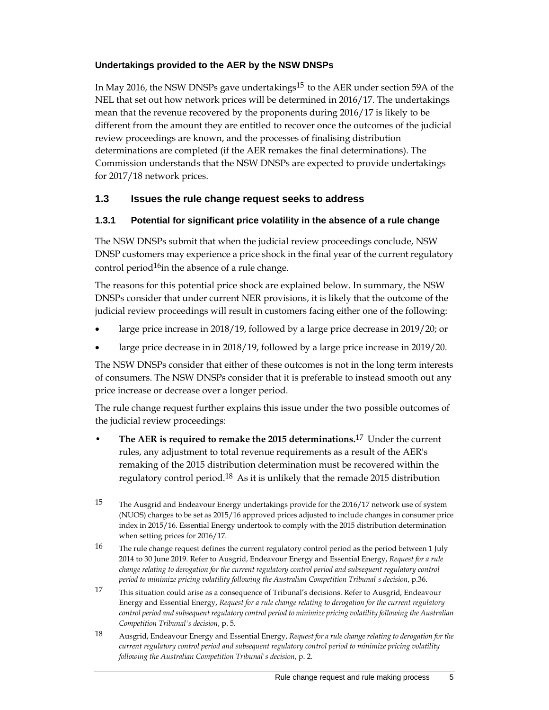#### **Undertakings provided to the AER by the NSW DNSPs**

In May 2016, the NSW DNSPs gave undertakings<sup>15</sup> to the AER under section 59A of the NEL that set out how network prices will be determined in 2016/17. The undertakings mean that the revenue recovered by the proponents during 2016/17 is likely to be different from the amount they are entitled to recover once the outcomes of the judicial review proceedings are known, and the processes of finalising distribution determinations are completed (if the AER remakes the final determinations). The Commission understands that the NSW DNSPs are expected to provide undertakings for 2017/18 network prices.

#### **1.3 Issues the rule change request seeks to address**

#### **1.3.1 Potential for significant price volatility in the absence of a rule change**

The NSW DNSPs submit that when the judicial review proceedings conclude, NSW DNSP customers may experience a price shock in the final year of the current regulatory control period $16$ in the absence of a rule change.

The reasons for this potential price shock are explained below. In summary, the NSW DNSPs consider that under current NER provisions, it is likely that the outcome of the judicial review proceedings will result in customers facing either one of the following:

- large price increase in 2018/19, followed by a large price decrease in 2019/20; or
- large price decrease in in 2018/19, followed by a large price increase in 2019/20.

The NSW DNSPs consider that either of these outcomes is not in the long term interests of consumers. The NSW DNSPs consider that it is preferable to instead smooth out any price increase or decrease over a longer period.

The rule change request further explains this issue under the two possible outcomes of the judicial review proceedings:

• **The AER is required to remake the 2015 determinations.**17 Under the current rules, any adjustment to total revenue requirements as a result of the AER's remaking of the 2015 distribution determination must be recovered within the regulatory control period.<sup>18</sup> As it is unlikely that the remade 2015 distribution

<sup>15</sup> The Ausgrid and Endeavour Energy undertakings provide for the 2016/17 network use of system (NUOS) charges to be set as 2015/16 approved prices adjusted to include changes in consumer price index in 2015/16. Essential Energy undertook to comply with the 2015 distribution determination when setting prices for 2016/17.

<sup>16</sup> The rule change request defines the current regulatory control period as the period between 1 July 2014 to 30 June 2019. Refer to Ausgrid, Endeavour Energy and Essential Energy, *Request for a rule change relating to derogation for the current regulatory control period and subsequent regulatory control period to minimize pricing volatility following the Australian Competition Tribunal's decision*, p.36.

<sup>17</sup> This situation could arise as a consequence of Tribunal's decisions. Refer to Ausgrid, Endeavour Energy and Essential Energy, *Request for a rule change relating to derogation for the current regulatory control period and subsequent regulatory control period to minimize pricing volatility following the Australian Competition Tribunal's decision*, p. 5.

<sup>18</sup> Ausgrid, Endeavour Energy and Essential Energy, *Request for a rule change relating to derogation for the current regulatory control period and subsequent regulatory control period to minimize pricing volatility following the Australian Competition Tribunal's decision*, p. 2.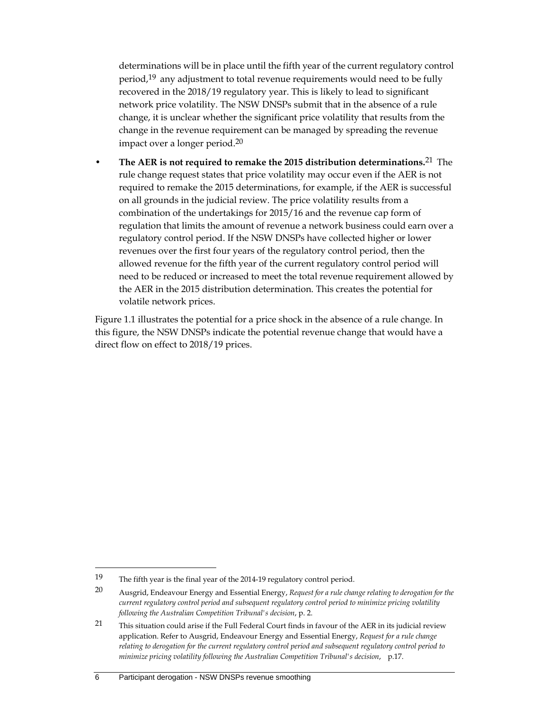determinations will be in place until the fifth year of the current regulatory control period,<sup>19</sup> any adjustment to total revenue requirements would need to be fully recovered in the 2018/19 regulatory year. This is likely to lead to significant network price volatility. The NSW DNSPs submit that in the absence of a rule change, it is unclear whether the significant price volatility that results from the change in the revenue requirement can be managed by spreading the revenue impact over a longer period.20

• **The AER is not required to remake the 2015 distribution determinations.**21 The rule change request states that price volatility may occur even if the AER is not required to remake the 2015 determinations, for example, if the AER is successful on all grounds in the judicial review. The price volatility results from a combination of the undertakings for 2015/16 and the revenue cap form of regulation that limits the amount of revenue a network business could earn over a regulatory control period. If the NSW DNSPs have collected higher or lower revenues over the first four years of the regulatory control period, then the allowed revenue for the fifth year of the current regulatory control period will need to be reduced or increased to meet the total revenue requirement allowed by the AER in the 2015 distribution determination. This creates the potential for volatile network prices.

Figure 1.1 illustrates the potential for a price shock in the absence of a rule change. In this figure, the NSW DNSPs indicate the potential revenue change that would have a direct flow on effect to 2018/19 prices.

<sup>19</sup> The fifth year is the final year of the 2014-19 regulatory control period.

<sup>20</sup> Ausgrid, Endeavour Energy and Essential Energy, *Request for a rule change relating to derogation for the current regulatory control period and subsequent regulatory control period to minimize pricing volatility following the Australian Competition Tribunal's decision*, p. 2.

<sup>21</sup> This situation could arise if the Full Federal Court finds in favour of the AER in its judicial review application. Refer to Ausgrid, Endeavour Energy and Essential Energy, *Request for a rule change relating to derogation for the current regulatory control period and subsequent regulatory control period to minimize pricing volatility following the Australian Competition Tribunal's decision*, p.17.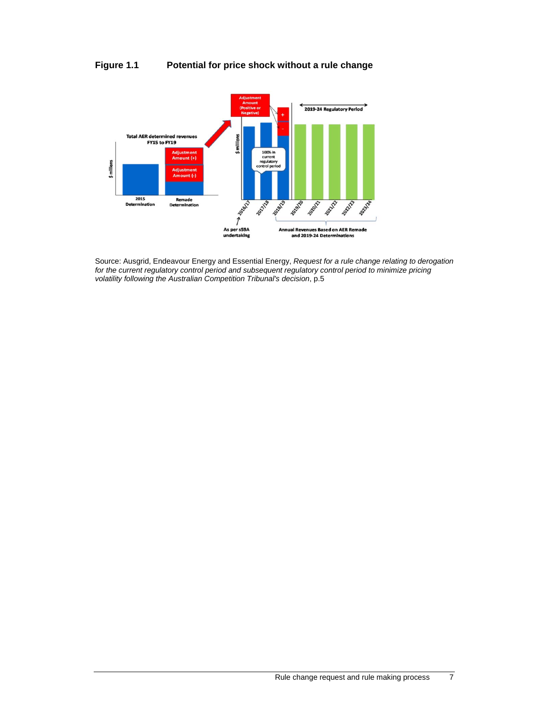### **Figure 1.1 Potential for price shock without a rule change**



Source: Ausgrid, Endeavour Energy and Essential Energy, *Request for a rule change relating to derogation*  for the current regulatory control period and subsequent regulatory control period to minimize pricing *volatility following the Australian Competition Tribunal's decision*, p.5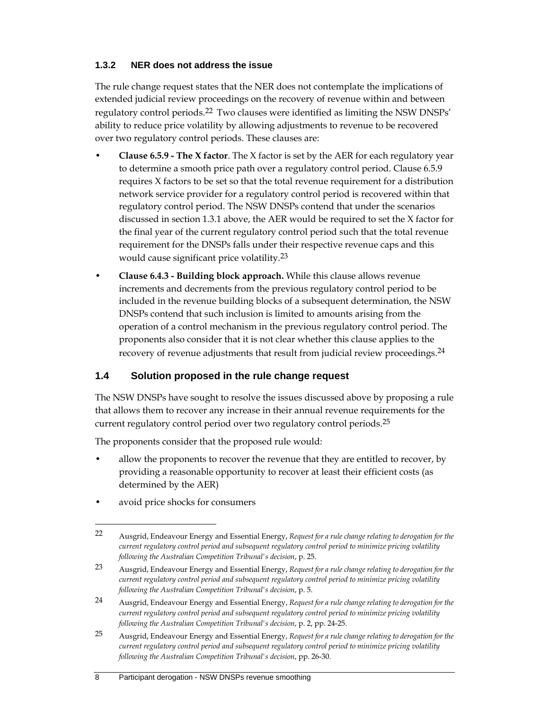#### **1.3.2 NER does not address the issue**

The rule change request states that the NER does not contemplate the implications of extended judicial review proceedings on the recovery of revenue within and between regulatory control periods.22 Two clauses were identified as limiting the NSW DNSPs' ability to reduce price volatility by allowing adjustments to revenue to be recovered over two regulatory control periods. These clauses are:

- **Clause 6.5.9 The X factor**. The X factor is set by the AER for each regulatory year to determine a smooth price path over a regulatory control period. Clause 6.5.9 requires X factors to be set so that the total revenue requirement for a distribution network service provider for a regulatory control period is recovered within that regulatory control period. The NSW DNSPs contend that under the scenarios discussed in section 1.3.1 above, the AER would be required to set the X factor for the final year of the current regulatory control period such that the total revenue requirement for the DNSPs falls under their respective revenue caps and this would cause significant price volatility.<sup>23</sup>
- **Clause 6.4.3 Building block approach.** While this clause allows revenue increments and decrements from the previous regulatory control period to be included in the revenue building blocks of a subsequent determination, the NSW DNSPs contend that such inclusion is limited to amounts arising from the operation of a control mechanism in the previous regulatory control period. The proponents also consider that it is not clear whether this clause applies to the recovery of revenue adjustments that result from judicial review proceedings.<sup>24</sup>

### **1.4 Solution proposed in the rule change request**

The NSW DNSPs have sought to resolve the issues discussed above by proposing a rule that allows them to recover any increase in their annual revenue requirements for the current regulatory control period over two regulatory control periods.<sup>25</sup>

The proponents consider that the proposed rule would:

- allow the proponents to recover the revenue that they are entitled to recover, by providing a reasonable opportunity to recover at least their efficient costs (as determined by the AER)
- avoid price shocks for consumers

<sup>22</sup> Ausgrid, Endeavour Energy and Essential Energy, *Request for a rule change relating to derogation for the current regulatory control period and subsequent regulatory control period to minimize pricing volatility following the Australian Competition Tribunal's decision*, p. 25.

<sup>23</sup> Ausgrid, Endeavour Energy and Essential Energy, *Request for a rule change relating to derogation for the current regulatory control period and subsequent regulatory control period to minimize pricing volatility following the Australian Competition Tribunal's decision*, p. 5.

<sup>24</sup> Ausgrid, Endeavour Energy and Essential Energy, *Request for a rule change relating to derogation for the current regulatory control period and subsequent regulatory control period to minimize pricing volatility following the Australian Competition Tribunal's decision*, p. 2, pp. 24-25.

<sup>25</sup> Ausgrid, Endeavour Energy and Essential Energy, *Request for a rule change relating to derogation for the current regulatory control period and subsequent regulatory control period to minimize pricing volatility following the Australian Competition Tribunal's decision*, pp. 26-30.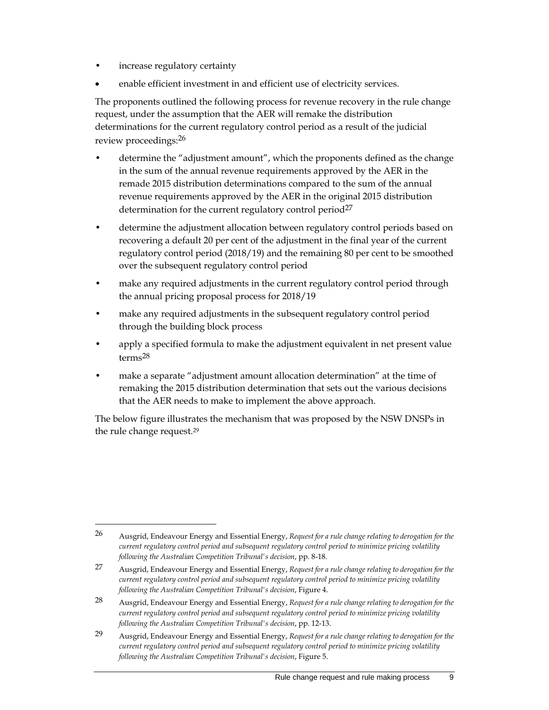increase regulatory certainty

 $\overline{a}$ 

enable efficient investment in and efficient use of electricity services.

The proponents outlined the following process for revenue recovery in the rule change request, under the assumption that the AER will remake the distribution determinations for the current regulatory control period as a result of the judicial review proceedings:26

- determine the "adjustment amount", which the proponents defined as the change in the sum of the annual revenue requirements approved by the AER in the remade 2015 distribution determinations compared to the sum of the annual revenue requirements approved by the AER in the original 2015 distribution determination for the current regulatory control period<sup>27</sup>
- determine the adjustment allocation between regulatory control periods based on recovering a default 20 per cent of the adjustment in the final year of the current regulatory control period (2018/19) and the remaining 80 per cent to be smoothed over the subsequent regulatory control period
- make any required adjustments in the current regulatory control period through the annual pricing proposal process for 2018/19
- make any required adjustments in the subsequent regulatory control period through the building block process
- apply a specified formula to make the adjustment equivalent in net present value terms28
- make a separate "adjustment amount allocation determination" at the time of remaking the 2015 distribution determination that sets out the various decisions that the AER needs to make to implement the above approach.

The below figure illustrates the mechanism that was proposed by the NSW DNSPs in the rule change request.29

<sup>26</sup> Ausgrid, Endeavour Energy and Essential Energy, *Request for a rule change relating to derogation for the current regulatory control period and subsequent regulatory control period to minimize pricing volatility following the Australian Competition Tribunal's decision*, pp. 8-18.

<sup>27</sup> Ausgrid, Endeavour Energy and Essential Energy, *Request for a rule change relating to derogation for the current regulatory control period and subsequent regulatory control period to minimize pricing volatility following the Australian Competition Tribunal's decision*, Figure 4.

<sup>28</sup> Ausgrid, Endeavour Energy and Essential Energy, *Request for a rule change relating to derogation for the current regulatory control period and subsequent regulatory control period to minimize pricing volatility following the Australian Competition Tribunal's decision*, pp. 12-13.

<sup>29</sup> Ausgrid, Endeavour Energy and Essential Energy, *Request for a rule change relating to derogation for the current regulatory control period and subsequent regulatory control period to minimize pricing volatility following the Australian Competition Tribunal's decision*, Figure 5.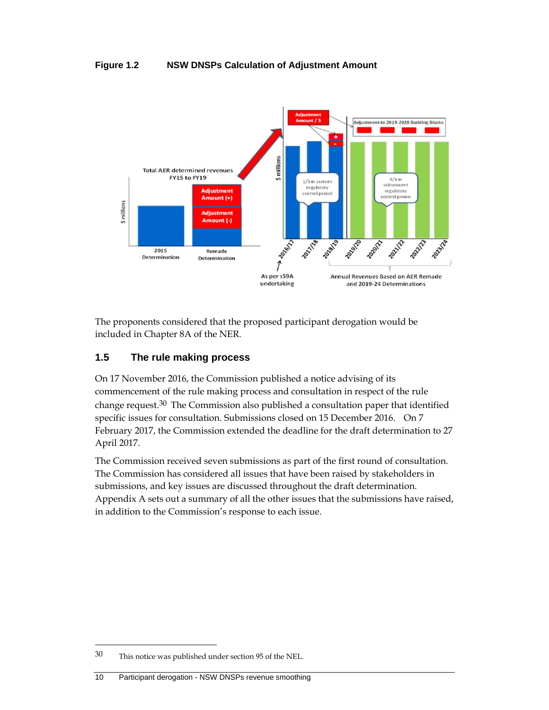#### **Figure 1.2 NSW DNSPs Calculation of Adjustment Amount**



The proponents considered that the proposed participant derogation would be included in Chapter 8A of the NER.

### **1.5 The rule making process**

On 17 November 2016, the Commission published a notice advising of its commencement of the rule making process and consultation in respect of the rule change request.30 The Commission also published a consultation paper that identified specific issues for consultation. Submissions closed on 15 December 2016. On 7 February 2017, the Commission extended the deadline for the draft determination to 27 April 2017.

The Commission received seven submissions as part of the first round of consultation. The Commission has considered all issues that have been raised by stakeholders in submissions, and key issues are discussed throughout the draft determination. Appendix A sets out a summary of all the other issues that the submissions have raised, in addition to the Commission's response to each issue.

-

<sup>30</sup> This notice was published under section 95 of the NEL.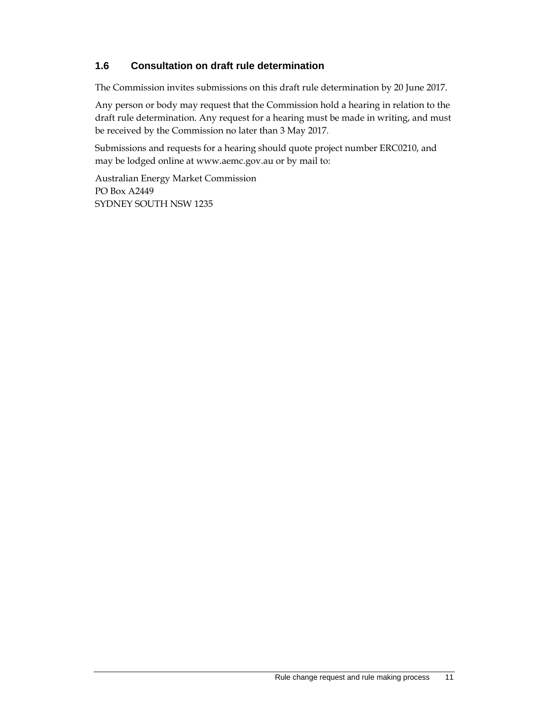### **1.6 Consultation on draft rule determination**

The Commission invites submissions on this draft rule determination by 20 June 2017.

Any person or body may request that the Commission hold a hearing in relation to the draft rule determination. Any request for a hearing must be made in writing, and must be received by the Commission no later than 3 May 2017.

Submissions and requests for a hearing should quote project number ERC0210, and may be lodged online at www.aemc.gov.au or by mail to:

Australian Energy Market Commission PO Box A2449 SYDNEY SOUTH NSW 1235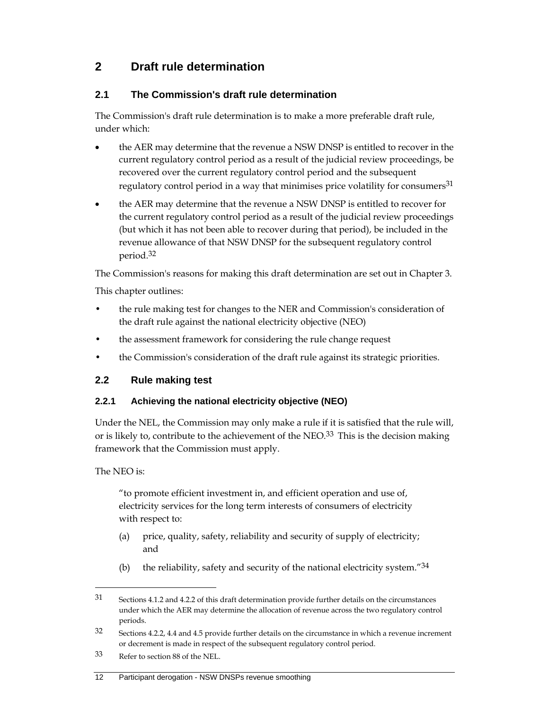# **2 Draft rule determination**

### **2.1 The Commission's draft rule determination**

The Commission's draft rule determination is to make a more preferable draft rule, under which:

- the AER may determine that the revenue a NSW DNSP is entitled to recover in the current regulatory control period as a result of the judicial review proceedings, be recovered over the current regulatory control period and the subsequent regulatory control period in a way that minimises price volatility for consumers<sup>31</sup>
- the AER may determine that the revenue a NSW DNSP is entitled to recover for the current regulatory control period as a result of the judicial review proceedings (but which it has not been able to recover during that period), be included in the revenue allowance of that NSW DNSP for the subsequent regulatory control period.32

The Commission's reasons for making this draft determination are set out in Chapter 3.

This chapter outlines:

- the rule making test for changes to the NER and Commission's consideration of the draft rule against the national electricity objective (NEO)
- the assessment framework for considering the rule change request
- the Commission's consideration of the draft rule against its strategic priorities.

### **2.2 Rule making test**

### **2.2.1 Achieving the national electricity objective (NEO)**

Under the NEL, the Commission may only make a rule if it is satisfied that the rule will, or is likely to, contribute to the achievement of the NEO.<sup>33</sup> This is the decision making framework that the Commission must apply.

The NEO is:

 $\overline{a}$ 

"to promote efficient investment in, and efficient operation and use of, electricity services for the long term interests of consumers of electricity with respect to:

- (a) price, quality, safety, reliability and security of supply of electricity; and
- (b) the reliability, safety and security of the national electricity system." $34$

#### 12 Participant derogation - NSW DNSPs revenue smoothing

<sup>31</sup> Sections 4.1.2 and 4.2.2 of this draft determination provide further details on the circumstances under which the AER may determine the allocation of revenue across the two regulatory control periods.

<sup>32</sup> Sections 4.2.2, 4.4 and 4.5 provide further details on the circumstance in which a revenue increment or decrement is made in respect of the subsequent regulatory control period.

<sup>33</sup> Refer to section 88 of the NEL.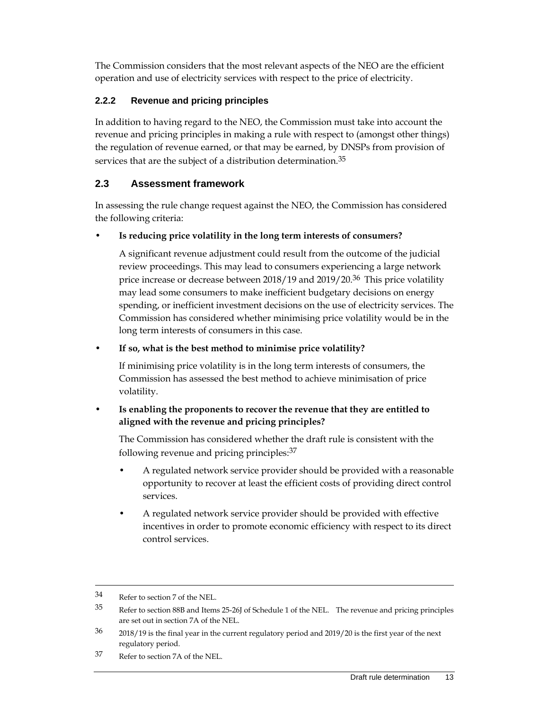The Commission considers that the most relevant aspects of the NEO are the efficient operation and use of electricity services with respect to the price of electricity.

### **2.2.2 Revenue and pricing principles**

In addition to having regard to the NEO, the Commission must take into account the revenue and pricing principles in making a rule with respect to (amongst other things) the regulation of revenue earned, or that may be earned, by DNSPs from provision of services that are the subject of a distribution determination.<sup>35</sup>

## **2.3 Assessment framework**

In assessing the rule change request against the NEO, the Commission has considered the following criteria:

• **Is reducing price volatility in the long term interests of consumers?**

A significant revenue adjustment could result from the outcome of the judicial review proceedings. This may lead to consumers experiencing a large network price increase or decrease between 2018/19 and 2019/20.<sup>36</sup> This price volatility may lead some consumers to make inefficient budgetary decisions on energy spending, or inefficient investment decisions on the use of electricity services. The Commission has considered whether minimising price volatility would be in the long term interests of consumers in this case.

### • **If so, what is the best method to minimise price volatility?**

If minimising price volatility is in the long term interests of consumers, the Commission has assessed the best method to achieve minimisation of price volatility.

### • **Is enabling the proponents to recover the revenue that they are entitled to aligned with the revenue and pricing principles?**

The Commission has considered whether the draft rule is consistent with the following revenue and pricing principles:37

- A regulated network service provider should be provided with a reasonable opportunity to recover at least the efficient costs of providing direct control services.
- A regulated network service provider should be provided with effective incentives in order to promote economic efficiency with respect to its direct control services.

37 Refer to section 7A of the NEL.

<sup>34</sup> Refer to section 7 of the NEL.

<sup>35</sup> Refer to section 88B and Items 25-26J of Schedule 1 of the NEL. The revenue and pricing principles are set out in section 7A of the NEL.

<sup>&</sup>lt;sup>36</sup> 2018/19 is the final year in the current regulatory period and 2019/20 is the first year of the next regulatory period.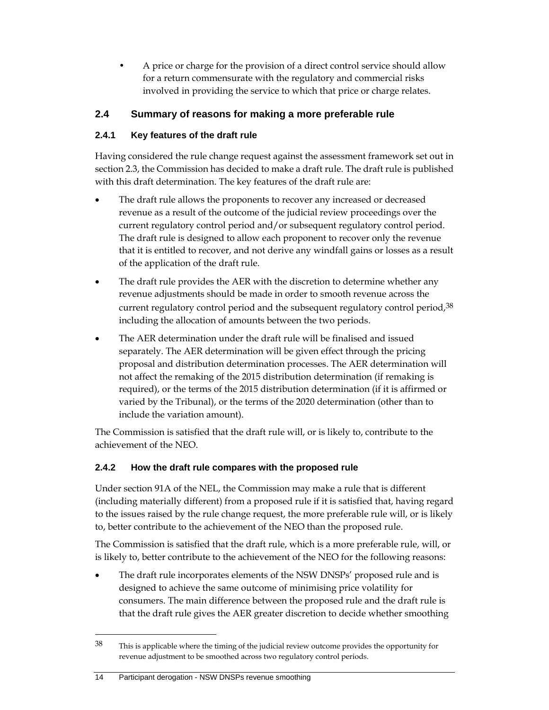• A price or charge for the provision of a direct control service should allow for a return commensurate with the regulatory and commercial risks involved in providing the service to which that price or charge relates.

## **2.4 Summary of reasons for making a more preferable rule**

### **2.4.1 Key features of the draft rule**

Having considered the rule change request against the assessment framework set out in section 2.3, the Commission has decided to make a draft rule. The draft rule is published with this draft determination. The key features of the draft rule are:

- The draft rule allows the proponents to recover any increased or decreased revenue as a result of the outcome of the judicial review proceedings over the current regulatory control period and/or subsequent regulatory control period. The draft rule is designed to allow each proponent to recover only the revenue that it is entitled to recover, and not derive any windfall gains or losses as a result of the application of the draft rule.
- The draft rule provides the AER with the discretion to determine whether any revenue adjustments should be made in order to smooth revenue across the current regulatory control period and the subsequent regulatory control period, 38 including the allocation of amounts between the two periods.
- The AER determination under the draft rule will be finalised and issued separately. The AER determination will be given effect through the pricing proposal and distribution determination processes. The AER determination will not affect the remaking of the 2015 distribution determination (if remaking is required), or the terms of the 2015 distribution determination (if it is affirmed or varied by the Tribunal), or the terms of the 2020 determination (other than to include the variation amount).

The Commission is satisfied that the draft rule will, or is likely to, contribute to the achievement of the NEO.

### **2.4.2 How the draft rule compares with the proposed rule**

Under section 91A of the NEL, the Commission may make a rule that is different (including materially different) from a proposed rule if it is satisfied that, having regard to the issues raised by the rule change request, the more preferable rule will, or is likely to, better contribute to the achievement of the NEO than the proposed rule.

The Commission is satisfied that the draft rule, which is a more preferable rule, will, or is likely to, better contribute to the achievement of the NEO for the following reasons:

 The draft rule incorporates elements of the NSW DNSPs' proposed rule and is designed to achieve the same outcome of minimising price volatility for consumers. The main difference between the proposed rule and the draft rule is that the draft rule gives the AER greater discretion to decide whether smoothing

#### 14 Participant derogation - NSW DNSPs revenue smoothing

<sup>&</sup>lt;sup>38</sup> This is applicable where the timing of the judicial review outcome provides the opportunity for revenue adjustment to be smoothed across two regulatory control periods.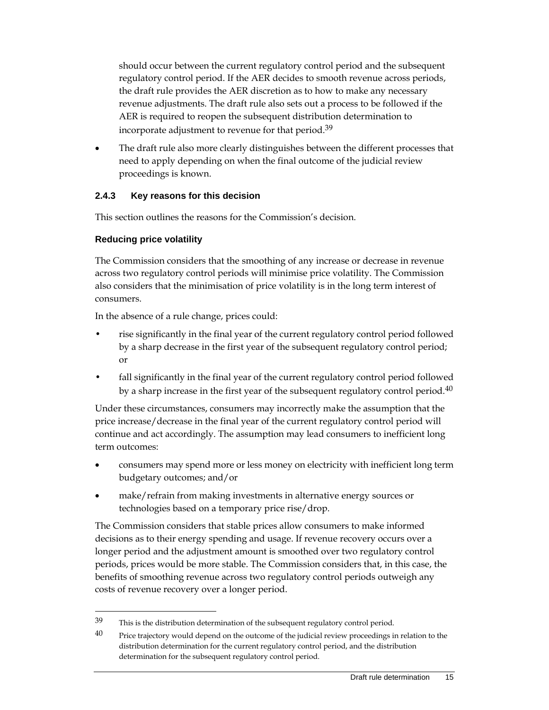should occur between the current regulatory control period and the subsequent regulatory control period. If the AER decides to smooth revenue across periods, the draft rule provides the AER discretion as to how to make any necessary revenue adjustments. The draft rule also sets out a process to be followed if the AER is required to reopen the subsequent distribution determination to incorporate adjustment to revenue for that period.<sup>39</sup>

 The draft rule also more clearly distinguishes between the different processes that need to apply depending on when the final outcome of the judicial review proceedings is known.

### **2.4.3 Key reasons for this decision**

This section outlines the reasons for the Commission's decision.

### **Reducing price volatility**

 $\overline{a}$ 

The Commission considers that the smoothing of any increase or decrease in revenue across two regulatory control periods will minimise price volatility. The Commission also considers that the minimisation of price volatility is in the long term interest of consumers.

In the absence of a rule change, prices could:

- rise significantly in the final year of the current regulatory control period followed by a sharp decrease in the first year of the subsequent regulatory control period; or
- fall significantly in the final year of the current regulatory control period followed by a sharp increase in the first year of the subsequent regulatory control period.<sup>40</sup>

Under these circumstances, consumers may incorrectly make the assumption that the price increase/decrease in the final year of the current regulatory control period will continue and act accordingly. The assumption may lead consumers to inefficient long term outcomes:

- consumers may spend more or less money on electricity with inefficient long term budgetary outcomes; and/or
- make/refrain from making investments in alternative energy sources or technologies based on a temporary price rise/drop.

The Commission considers that stable prices allow consumers to make informed decisions as to their energy spending and usage. If revenue recovery occurs over a longer period and the adjustment amount is smoothed over two regulatory control periods, prices would be more stable. The Commission considers that, in this case, the benefits of smoothing revenue across two regulatory control periods outweigh any costs of revenue recovery over a longer period.

 $39$  This is the distribution determination of the subsequent regulatory control period.

 $40$  Price trajectory would depend on the outcome of the judicial review proceedings in relation to the distribution determination for the current regulatory control period, and the distribution determination for the subsequent regulatory control period.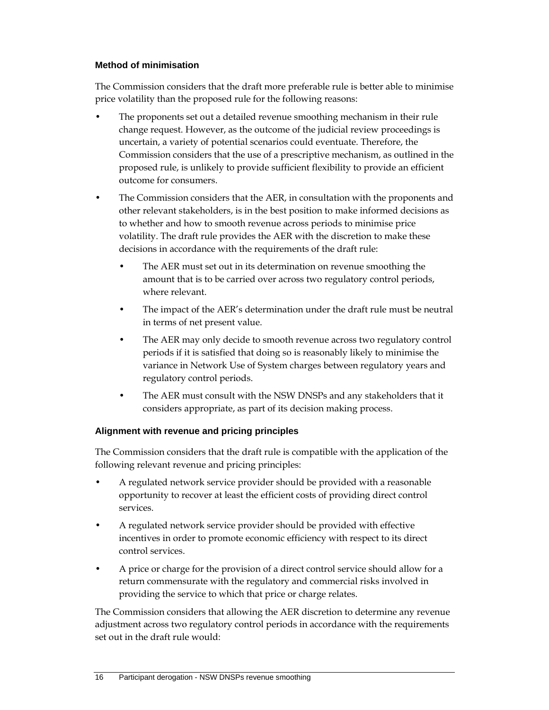#### **Method of minimisation**

The Commission considers that the draft more preferable rule is better able to minimise price volatility than the proposed rule for the following reasons:

- The proponents set out a detailed revenue smoothing mechanism in their rule change request. However, as the outcome of the judicial review proceedings is uncertain, a variety of potential scenarios could eventuate. Therefore, the Commission considers that the use of a prescriptive mechanism, as outlined in the proposed rule, is unlikely to provide sufficient flexibility to provide an efficient outcome for consumers.
- The Commission considers that the AER, in consultation with the proponents and other relevant stakeholders, is in the best position to make informed decisions as to whether and how to smooth revenue across periods to minimise price volatility. The draft rule provides the AER with the discretion to make these decisions in accordance with the requirements of the draft rule:
	- The AER must set out in its determination on revenue smoothing the amount that is to be carried over across two regulatory control periods, where relevant.
	- The impact of the AER's determination under the draft rule must be neutral in terms of net present value.
	- The AER may only decide to smooth revenue across two regulatory control periods if it is satisfied that doing so is reasonably likely to minimise the variance in Network Use of System charges between regulatory years and regulatory control periods.
	- The AER must consult with the NSW DNSPs and any stakeholders that it considers appropriate, as part of its decision making process.

#### **Alignment with revenue and pricing principles**

The Commission considers that the draft rule is compatible with the application of the following relevant revenue and pricing principles:

- A regulated network service provider should be provided with a reasonable opportunity to recover at least the efficient costs of providing direct control services.
- A regulated network service provider should be provided with effective incentives in order to promote economic efficiency with respect to its direct control services.
- A price or charge for the provision of a direct control service should allow for a return commensurate with the regulatory and commercial risks involved in providing the service to which that price or charge relates.

The Commission considers that allowing the AER discretion to determine any revenue adjustment across two regulatory control periods in accordance with the requirements set out in the draft rule would: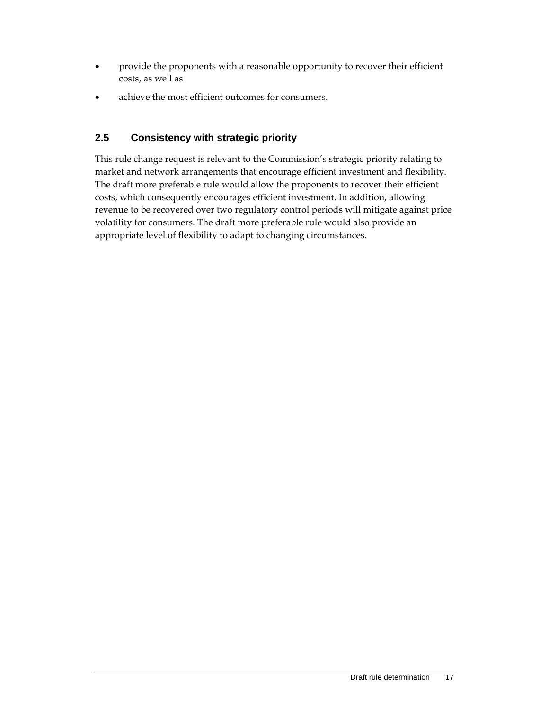- provide the proponents with a reasonable opportunity to recover their efficient costs, as well as
- achieve the most efficient outcomes for consumers.

### **2.5 Consistency with strategic priority**

This rule change request is relevant to the Commission's strategic priority relating to market and network arrangements that encourage efficient investment and flexibility. The draft more preferable rule would allow the proponents to recover their efficient costs, which consequently encourages efficient investment. In addition, allowing revenue to be recovered over two regulatory control periods will mitigate against price volatility for consumers. The draft more preferable rule would also provide an appropriate level of flexibility to adapt to changing circumstances.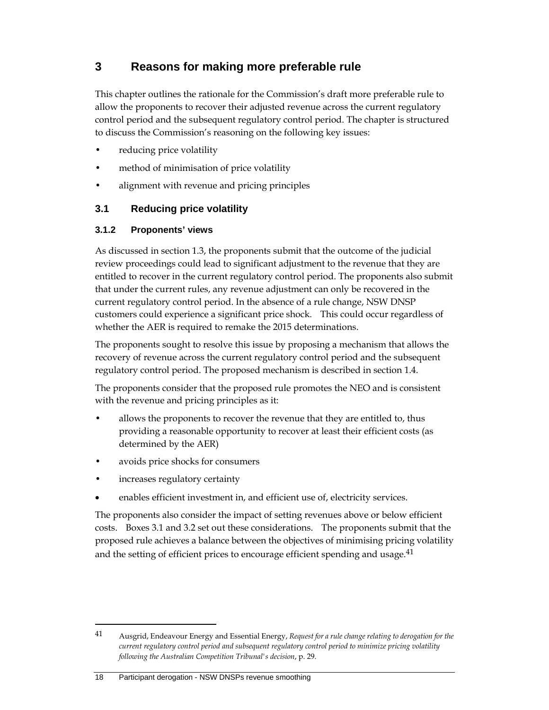## **3 Reasons for making more preferable rule**

This chapter outlines the rationale for the Commission's draft more preferable rule to allow the proponents to recover their adjusted revenue across the current regulatory control period and the subsequent regulatory control period. The chapter is structured to discuss the Commission's reasoning on the following key issues:

- reducing price volatility
- method of minimisation of price volatility
- alignment with revenue and pricing principles

### **3.1 Reducing price volatility**

#### **3.1.2 Proponents' views**

As discussed in section 1.3, the proponents submit that the outcome of the judicial review proceedings could lead to significant adjustment to the revenue that they are entitled to recover in the current regulatory control period. The proponents also submit that under the current rules, any revenue adjustment can only be recovered in the current regulatory control period. In the absence of a rule change, NSW DNSP customers could experience a significant price shock. This could occur regardless of whether the AER is required to remake the 2015 determinations.

The proponents sought to resolve this issue by proposing a mechanism that allows the recovery of revenue across the current regulatory control period and the subsequent regulatory control period. The proposed mechanism is described in section 1.4.

The proponents consider that the proposed rule promotes the NEO and is consistent with the revenue and pricing principles as it:

- allows the proponents to recover the revenue that they are entitled to, thus providing a reasonable opportunity to recover at least their efficient costs (as determined by the AER)
- avoids price shocks for consumers
- increases regulatory certainty

enables efficient investment in, and efficient use of, electricity services.

The proponents also consider the impact of setting revenues above or below efficient costs. Boxes 3.1 and 3.2 set out these considerations. The proponents submit that the proposed rule achieves a balance between the objectives of minimising pricing volatility and the setting of efficient prices to encourage efficient spending and usage.<sup>41</sup>

<sup>41</sup> Ausgrid, Endeavour Energy and Essential Energy, *Request for a rule change relating to derogation for the current regulatory control period and subsequent regulatory control period to minimize pricing volatility following the Australian Competition Tribunal's decision*, p. 29.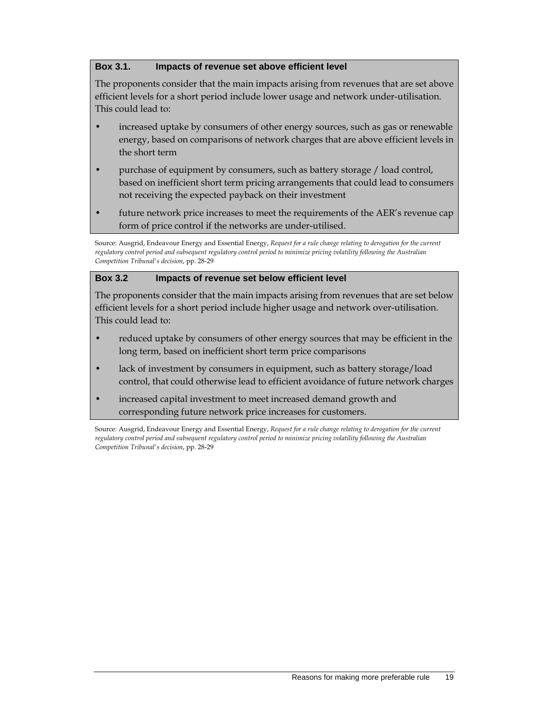#### **Box 3.1. Impacts of revenue set above efficient level**

The proponents consider that the main impacts arising from revenues that are set above efficient levels for a short period include lower usage and network under-utilisation. This could lead to:

- increased uptake by consumers of other energy sources, such as gas or renewable energy, based on comparisons of network charges that are above efficient levels in the short term
- purchase of equipment by consumers, such as battery storage / load control, based on inefficient short term pricing arrangements that could lead to consumers not receiving the expected payback on their investment
- future network price increases to meet the requirements of the AER's revenue cap form of price control if the networks are under-utilised.

Source: Ausgrid, Endeavour Energy and Essential Energy, *Request for a rule change relating to derogation for the current regulatory control period and subsequent regulatory control period to minimize pricing volatility following the Australian Competition Tribunal's decision*, pp. 28-29

#### **Box 3.2 Impacts of revenue set below efficient level**

The proponents consider that the main impacts arising from revenues that are set below efficient levels for a short period include higher usage and network over-utilisation. This could lead to:

- reduced uptake by consumers of other energy sources that may be efficient in the long term, based on inefficient short term price comparisons
- lack of investment by consumers in equipment, such as battery storage/load control, that could otherwise lead to efficient avoidance of future network charges
- increased capital investment to meet increased demand growth and corresponding future network price increases for customers.

Source: Ausgrid, Endeavour Energy and Essential Energy, *Request for a rule change relating to derogation for the current regulatory control period and subsequent regulatory control period to minimize pricing volatility following the Australian Competition Tribunal's decision*, pp. 28-29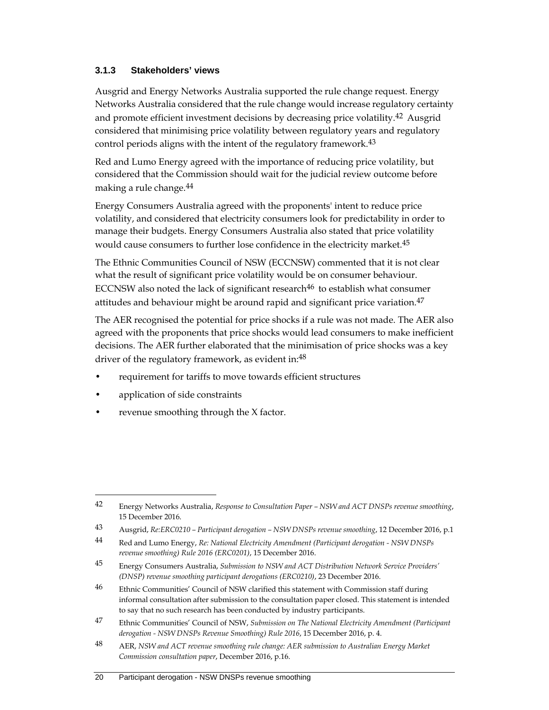#### **3.1.3 Stakeholders' views**

Ausgrid and Energy Networks Australia supported the rule change request. Energy Networks Australia considered that the rule change would increase regulatory certainty and promote efficient investment decisions by decreasing price volatility.<sup>42</sup> Ausgrid considered that minimising price volatility between regulatory years and regulatory control periods aligns with the intent of the regulatory framework.<sup>43</sup>

Red and Lumo Energy agreed with the importance of reducing price volatility, but considered that the Commission should wait for the judicial review outcome before making a rule change.44

Energy Consumers Australia agreed with the proponents' intent to reduce price volatility, and considered that electricity consumers look for predictability in order to manage their budgets. Energy Consumers Australia also stated that price volatility would cause consumers to further lose confidence in the electricity market.<sup>45</sup>

The Ethnic Communities Council of NSW (ECCNSW) commented that it is not clear what the result of significant price volatility would be on consumer behaviour. ECCNSW also noted the lack of significant research $46$  to establish what consumer attitudes and behaviour might be around rapid and significant price variation.<sup>47</sup>

The AER recognised the potential for price shocks if a rule was not made. The AER also agreed with the proponents that price shocks would lead consumers to make inefficient decisions. The AER further elaborated that the minimisation of price shocks was a key driver of the regulatory framework, as evident in:<sup>48</sup>

- requirement for tariffs to move towards efficient structures
- application of side constraints

 $\overline{a}$ 

revenue smoothing through the X factor.

<sup>42</sup> Energy Networks Australia, *Response to Consultation Paper – NSW and ACT DNSPs revenue smoothing*, 15 December 2016.

<sup>43</sup> Ausgrid, *Re:ERC0210 – Participant derogation – NSW DNSPs revenue smoothing*, 12 December 2016, p.1

<sup>44</sup> Red and Lumo Energy, *Re: National Electricity Amendment (Participant derogation - NSW DNSPs revenue smoothing) Rule 2016 (ERC0201)*, 15 December 2016.

<sup>45</sup> Energy Consumers Australia, *Submission to NSW and ACT Distribution Network Service Providers' (DNSP) revenue smoothing participant derogations (ERC0210)*, 23 December 2016.

<sup>&</sup>lt;sup>46</sup> Ethnic Communities' Council of NSW clarified this statement with Commission staff during informal consultation after submission to the consultation paper closed. This statement is intended to say that no such research has been conducted by industry participants.

<sup>47</sup> Ethnic Communities' Council of NSW, *Submission on The National Electricity Amendment (Participant derogation - NSW DNSPs Revenue Smoothing) Rule 2016*, 15 December 2016, p. 4.

<sup>48</sup> AER, *NSW and ACT revenue smoothing rule change: AER submission to Australian Energy Market Commission consultation paper*, December 2016, p.16.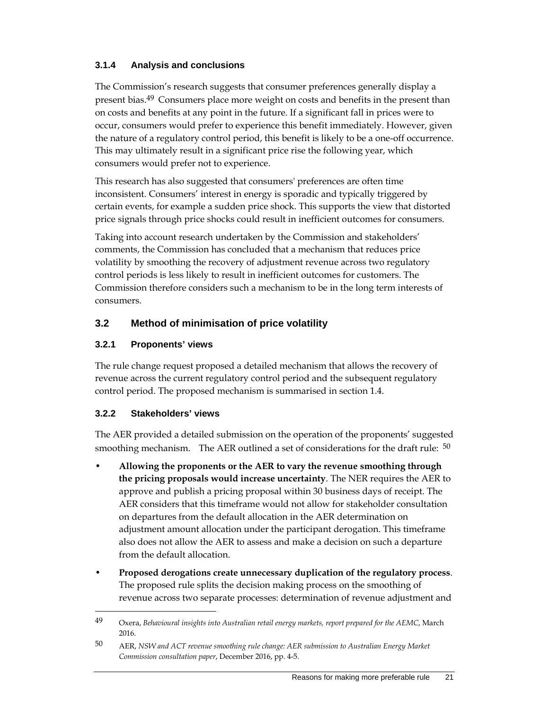### **3.1.4 Analysis and conclusions**

The Commission's research suggests that consumer preferences generally display a present bias.49 Consumers place more weight on costs and benefits in the present than on costs and benefits at any point in the future. If a significant fall in prices were to occur, consumers would prefer to experience this benefit immediately. However, given the nature of a regulatory control period, this benefit is likely to be a one-off occurrence. This may ultimately result in a significant price rise the following year, which consumers would prefer not to experience.

This research has also suggested that consumers' preferences are often time inconsistent. Consumers' interest in energy is sporadic and typically triggered by certain events, for example a sudden price shock. This supports the view that distorted price signals through price shocks could result in inefficient outcomes for consumers.

Taking into account research undertaken by the Commission and stakeholders' comments, the Commission has concluded that a mechanism that reduces price volatility by smoothing the recovery of adjustment revenue across two regulatory control periods is less likely to result in inefficient outcomes for customers. The Commission therefore considers such a mechanism to be in the long term interests of consumers.

### **3.2 Method of minimisation of price volatility**

### **3.2.1 Proponents' views**

The rule change request proposed a detailed mechanism that allows the recovery of revenue across the current regulatory control period and the subsequent regulatory control period. The proposed mechanism is summarised in section 1.4.

#### **3.2.2 Stakeholders' views**

 $\overline{a}$ 

The AER provided a detailed submission on the operation of the proponents' suggested smoothing mechanism. The AER outlined a set of considerations for the draft rule: <sup>50</sup>

- **Allowing the proponents or the AER to vary the revenue smoothing through the pricing proposals would increase uncertainty**. The NER requires the AER to approve and publish a pricing proposal within 30 business days of receipt. The AER considers that this timeframe would not allow for stakeholder consultation on departures from the default allocation in the AER determination on adjustment amount allocation under the participant derogation. This timeframe also does not allow the AER to assess and make a decision on such a departure from the default allocation.
- **Proposed derogations create unnecessary duplication of the regulatory process**. The proposed rule splits the decision making process on the smoothing of revenue across two separate processes: determination of revenue adjustment and

<sup>49</sup> Oxera, *Behavioural insights into Australian retail energy markets, report prepared for the AEMC*, March 2016.

<sup>50</sup> AER, *NSW and ACT revenue smoothing rule change: AER submission to Australian Energy Market Commission consultation paper*, December 2016, pp. 4-5.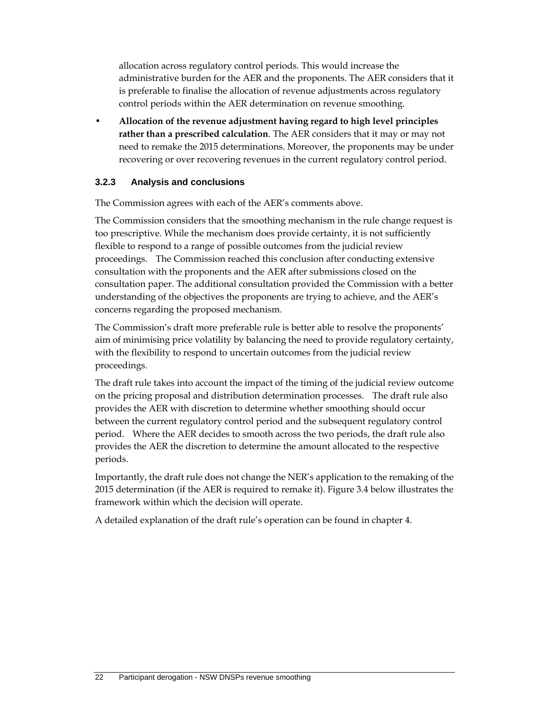allocation across regulatory control periods. This would increase the administrative burden for the AER and the proponents. The AER considers that it is preferable to finalise the allocation of revenue adjustments across regulatory control periods within the AER determination on revenue smoothing.

• **Allocation of the revenue adjustment having regard to high level principles rather than a prescribed calculation**. The AER considers that it may or may not need to remake the 2015 determinations. Moreover, the proponents may be under recovering or over recovering revenues in the current regulatory control period.

### **3.2.3 Analysis and conclusions**

The Commission agrees with each of the AER's comments above.

The Commission considers that the smoothing mechanism in the rule change request is too prescriptive. While the mechanism does provide certainty, it is not sufficiently flexible to respond to a range of possible outcomes from the judicial review proceedings. The Commission reached this conclusion after conducting extensive consultation with the proponents and the AER after submissions closed on the consultation paper. The additional consultation provided the Commission with a better understanding of the objectives the proponents are trying to achieve, and the AER's concerns regarding the proposed mechanism.

The Commission's draft more preferable rule is better able to resolve the proponents' aim of minimising price volatility by balancing the need to provide regulatory certainty, with the flexibility to respond to uncertain outcomes from the judicial review proceedings.

The draft rule takes into account the impact of the timing of the judicial review outcome on the pricing proposal and distribution determination processes. The draft rule also provides the AER with discretion to determine whether smoothing should occur between the current regulatory control period and the subsequent regulatory control period. Where the AER decides to smooth across the two periods, the draft rule also provides the AER the discretion to determine the amount allocated to the respective periods.

Importantly, the draft rule does not change the NER's application to the remaking of the 2015 determination (if the AER is required to remake it). Figure 3.4 below illustrates the framework within which the decision will operate.

A detailed explanation of the draft rule's operation can be found in chapter 4.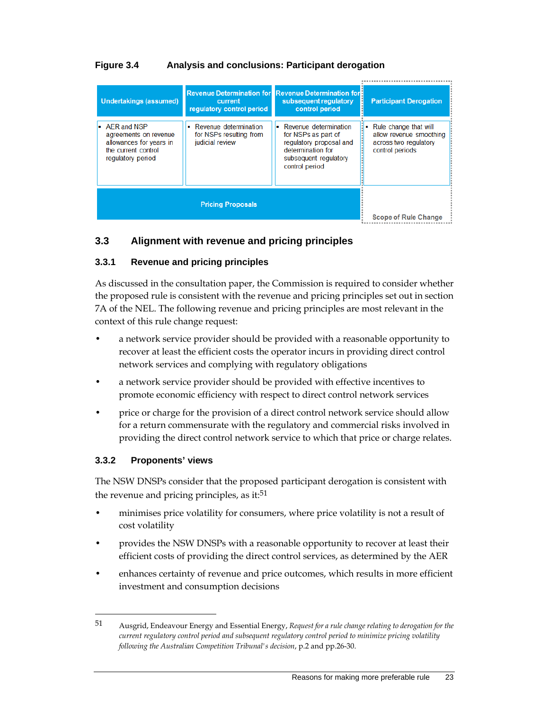### **Figure 3.4 Analysis and conclusions: Participant derogation**

| <b>Undertakings (assumed)</b>                                                                                              | current<br>requiatory control period                                  | <b>Revenue Determination for Revenue Determination for B</b><br>subsequent regulatory<br>control period                                   | <b>Participant Derogation</b>                                                                  |
|----------------------------------------------------------------------------------------------------------------------------|-----------------------------------------------------------------------|-------------------------------------------------------------------------------------------------------------------------------------------|------------------------------------------------------------------------------------------------|
| $\blacksquare$ AER and NSP<br>agreements on revenue<br>allowances for years in<br>the current control<br>regulatory period | • Revenue determination<br>for NSPs resulting from<br>judicial review | • Revenue determination<br>for NSPs as part of<br>regulatory proposal and<br>determination for<br>subsequent regulatory<br>control period | • Rule change that will<br>allow revenue smoothing<br>across two regulatory<br>control periods |
|                                                                                                                            | <b>Scope of Rule Change</b>                                           |                                                                                                                                           |                                                                                                |

### **3.3 Alignment with revenue and pricing principles**

### **3.3.1 Revenue and pricing principles**

As discussed in the consultation paper, the Commission is required to consider whether the proposed rule is consistent with the revenue and pricing principles set out in section 7A of the NEL. The following revenue and pricing principles are most relevant in the context of this rule change request:

- a network service provider should be provided with a reasonable opportunity to recover at least the efficient costs the operator incurs in providing direct control network services and complying with regulatory obligations
- a network service provider should be provided with effective incentives to promote economic efficiency with respect to direct control network services
- price or charge for the provision of a direct control network service should allow for a return commensurate with the regulatory and commercial risks involved in providing the direct control network service to which that price or charge relates.

#### **3.3.2 Proponents' views**

 $\overline{a}$ 

The NSW DNSPs consider that the proposed participant derogation is consistent with the revenue and pricing principles, as it:<sup>51</sup>

- minimises price volatility for consumers, where price volatility is not a result of cost volatility
- provides the NSW DNSPs with a reasonable opportunity to recover at least their efficient costs of providing the direct control services, as determined by the AER
- enhances certainty of revenue and price outcomes, which results in more efficient investment and consumption decisions

<sup>51</sup> Ausgrid, Endeavour Energy and Essential Energy, *Request for a rule change relating to derogation for the current regulatory control period and subsequent regulatory control period to minimize pricing volatility following the Australian Competition Tribunal's decision*, p.2 and pp.26-30.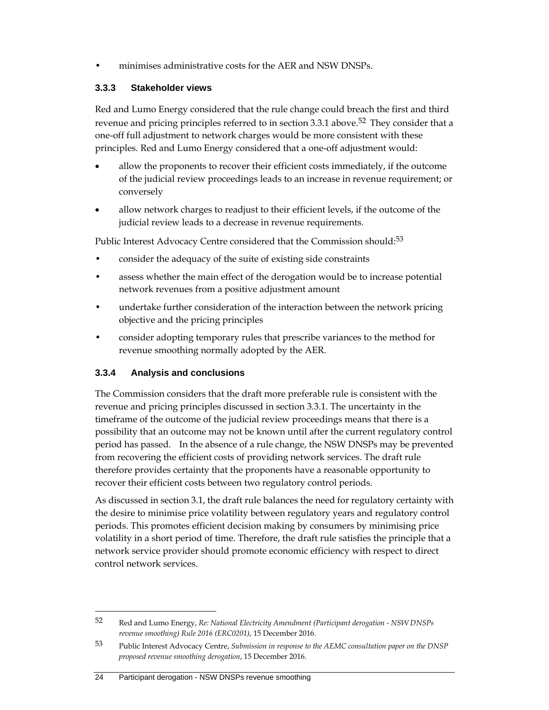• minimises administrative costs for the AER and NSW DNSPs.

### **3.3.3 Stakeholder views**

Red and Lumo Energy considered that the rule change could breach the first and third revenue and pricing principles referred to in section 3.3.1 above.<sup>52</sup> They consider that a one-off full adjustment to network charges would be more consistent with these principles. Red and Lumo Energy considered that a one-off adjustment would:

- allow the proponents to recover their efficient costs immediately, if the outcome of the judicial review proceedings leads to an increase in revenue requirement; or conversely
- allow network charges to readjust to their efficient levels, if the outcome of the judicial review leads to a decrease in revenue requirements.

Public Interest Advocacy Centre considered that the Commission should:<sup>53</sup>

- consider the adequacy of the suite of existing side constraints
- assess whether the main effect of the derogation would be to increase potential network revenues from a positive adjustment amount
- undertake further consideration of the interaction between the network pricing objective and the pricing principles
- consider adopting temporary rules that prescribe variances to the method for revenue smoothing normally adopted by the AER.

### **3.3.4 Analysis and conclusions**

The Commission considers that the draft more preferable rule is consistent with the revenue and pricing principles discussed in section 3.3.1. The uncertainty in the timeframe of the outcome of the judicial review proceedings means that there is a possibility that an outcome may not be known until after the current regulatory control period has passed. In the absence of a rule change, the NSW DNSPs may be prevented from recovering the efficient costs of providing network services. The draft rule therefore provides certainty that the proponents have a reasonable opportunity to recover their efficient costs between two regulatory control periods.

As discussed in section 3.1, the draft rule balances the need for regulatory certainty with the desire to minimise price volatility between regulatory years and regulatory control periods. This promotes efficient decision making by consumers by minimising price volatility in a short period of time. Therefore, the draft rule satisfies the principle that a network service provider should promote economic efficiency with respect to direct control network services.

#### 24 Participant derogation - NSW DNSPs revenue smoothing

<sup>52</sup> Red and Lumo Energy, *Re: National Electricity Amendment (Participant derogation - NSW DNSPs revenue smoothing) Rule 2016 (ERC0201)*, 15 December 2016.

<sup>53</sup> Public Interest Advocacy Centre, *Submission in response to the AEMC consultation paper on the DNSP proposed revenue smoothing derogation*, 15 December 2016.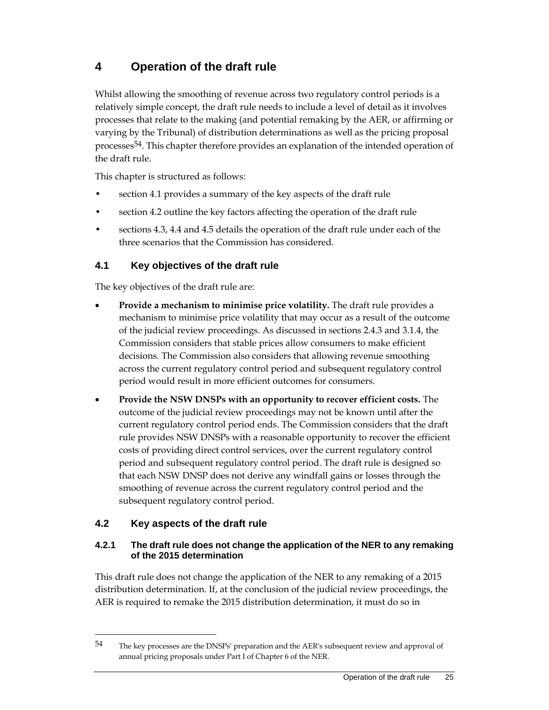# **4 Operation of the draft rule**

Whilst allowing the smoothing of revenue across two regulatory control periods is a relatively simple concept, the draft rule needs to include a level of detail as it involves processes that relate to the making (and potential remaking by the AER, or affirming or varying by the Tribunal) of distribution determinations as well as the pricing proposal processes54. This chapter therefore provides an explanation of the intended operation of the draft rule.

This chapter is structured as follows:

- section 4.1 provides a summary of the key aspects of the draft rule
- section 4.2 outline the key factors affecting the operation of the draft rule
- sections 4.3, 4.4 and 4.5 details the operation of the draft rule under each of the three scenarios that the Commission has considered.

### **4.1 Key objectives of the draft rule**

The key objectives of the draft rule are:

- **Provide a mechanism to minimise price volatility.** The draft rule provides a mechanism to minimise price volatility that may occur as a result of the outcome of the judicial review proceedings. As discussed in sections 2.4.3 and 3.1.4, the Commission considers that stable prices allow consumers to make efficient decisions. The Commission also considers that allowing revenue smoothing across the current regulatory control period and subsequent regulatory control period would result in more efficient outcomes for consumers.
- **Provide the NSW DNSPs with an opportunity to recover efficient costs.** The outcome of the judicial review proceedings may not be known until after the current regulatory control period ends. The Commission considers that the draft rule provides NSW DNSPs with a reasonable opportunity to recover the efficient costs of providing direct control services, over the current regulatory control period and subsequent regulatory control period. The draft rule is designed so that each NSW DNSP does not derive any windfall gains or losses through the smoothing of revenue across the current regulatory control period and the subsequent regulatory control period.

### **4.2 Key aspects of the draft rule**

 $\overline{a}$ 

### **4.2.1 The draft rule does not change the application of the NER to any remaking of the 2015 determination**

This draft rule does not change the application of the NER to any remaking of a 2015 distribution determination. If, at the conclusion of the judicial review proceedings, the AER is required to remake the 2015 distribution determination, it must do so in

<sup>54</sup> The key processes are the DNSPs' preparation and the AER's subsequent review and approval of annual pricing proposals under Part I of Chapter 6 of the NER.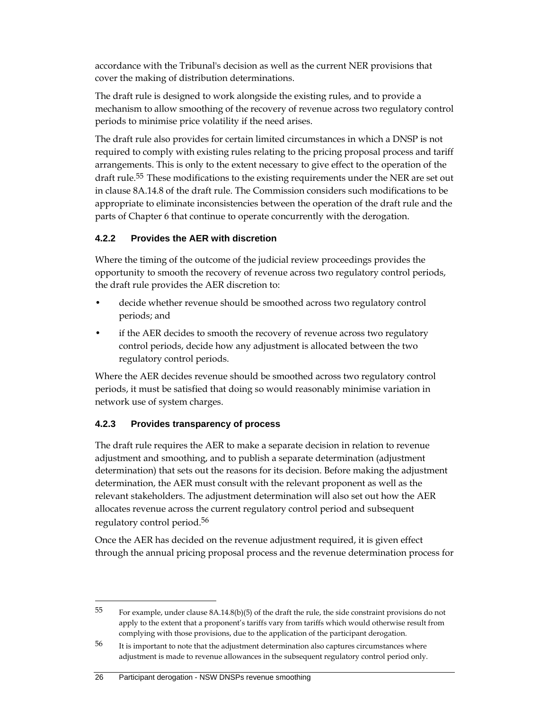accordance with the Tribunal's decision as well as the current NER provisions that cover the making of distribution determinations.

The draft rule is designed to work alongside the existing rules, and to provide a mechanism to allow smoothing of the recovery of revenue across two regulatory control periods to minimise price volatility if the need arises.

The draft rule also provides for certain limited circumstances in which a DNSP is not required to comply with existing rules relating to the pricing proposal process and tariff arrangements. This is only to the extent necessary to give effect to the operation of the draft rule.<sup>55</sup> These modifications to the existing requirements under the NER are set out in clause 8A.14.8 of the draft rule. The Commission considers such modifications to be appropriate to eliminate inconsistencies between the operation of the draft rule and the parts of Chapter 6 that continue to operate concurrently with the derogation.

### **4.2.2 Provides the AER with discretion**

Where the timing of the outcome of the judicial review proceedings provides the opportunity to smooth the recovery of revenue across two regulatory control periods, the draft rule provides the AER discretion to:

- decide whether revenue should be smoothed across two regulatory control periods; and
- if the AER decides to smooth the recovery of revenue across two regulatory control periods, decide how any adjustment is allocated between the two regulatory control periods.

Where the AER decides revenue should be smoothed across two regulatory control periods, it must be satisfied that doing so would reasonably minimise variation in network use of system charges.

## **4.2.3 Provides transparency of process**

The draft rule requires the AER to make a separate decision in relation to revenue adjustment and smoothing, and to publish a separate determination (adjustment determination) that sets out the reasons for its decision. Before making the adjustment determination, the AER must consult with the relevant proponent as well as the relevant stakeholders. The adjustment determination will also set out how the AER allocates revenue across the current regulatory control period and subsequent regulatory control period.56

Once the AER has decided on the revenue adjustment required, it is given effect through the annual pricing proposal process and the revenue determination process for

#### 26 Participant derogation - NSW DNSPs revenue smoothing

 $55$  For example, under clause 8A.14.8(b)(5) of the draft the rule, the side constraint provisions do not apply to the extent that a proponent's tariffs vary from tariffs which would otherwise result from complying with those provisions, due to the application of the participant derogation.

<sup>&</sup>lt;sup>56</sup> It is important to note that the adjustment determination also captures circumstances where adjustment is made to revenue allowances in the subsequent regulatory control period only.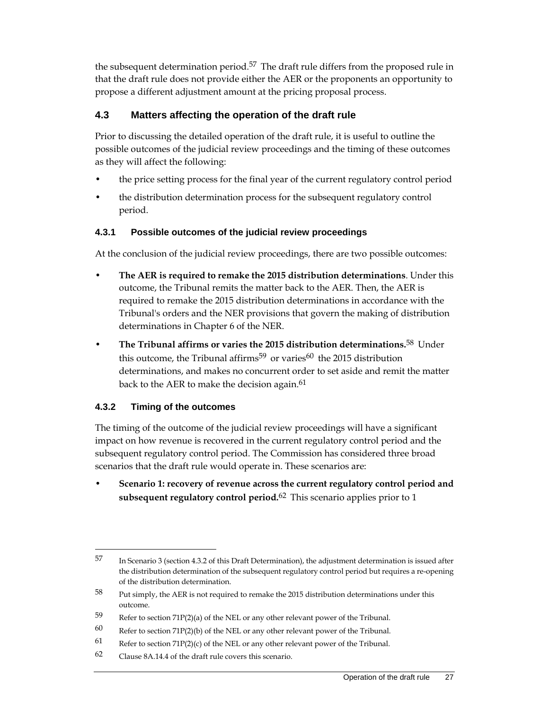the subsequent determination period.<sup>57</sup> The draft rule differs from the proposed rule in that the draft rule does not provide either the AER or the proponents an opportunity to propose a different adjustment amount at the pricing proposal process.

### **4.3 Matters affecting the operation of the draft rule**

Prior to discussing the detailed operation of the draft rule, it is useful to outline the possible outcomes of the judicial review proceedings and the timing of these outcomes as they will affect the following:

- the price setting process for the final year of the current regulatory control period
- the distribution determination process for the subsequent regulatory control period.

### **4.3.1 Possible outcomes of the judicial review proceedings**

At the conclusion of the judicial review proceedings, there are two possible outcomes:

- **The AER is required to remake the 2015 distribution determinations**. Under this outcome, the Tribunal remits the matter back to the AER. Then, the AER is required to remake the 2015 distribution determinations in accordance with the Tribunal's orders and the NER provisions that govern the making of distribution determinations in Chapter 6 of the NER.
- **The Tribunal affirms or varies the 2015 distribution determinations.**58 Under this outcome, the Tribunal affirms<sup>59</sup> or varies<sup>60</sup> the 2015 distribution determinations, and makes no concurrent order to set aside and remit the matter back to the AER to make the decision again.<sup>61</sup>

#### **4.3.2 Timing of the outcomes**

 $\overline{a}$ 

The timing of the outcome of the judicial review proceedings will have a significant impact on how revenue is recovered in the current regulatory control period and the subsequent regulatory control period. The Commission has considered three broad scenarios that the draft rule would operate in. These scenarios are:

• **Scenario 1: recovery of revenue across the current regulatory control period and subsequent regulatory control period.**62 This scenario applies prior to 1

<sup>57</sup> In Scenario 3 (section 4.3.2 of this Draft Determination), the adjustment determination is issued after the distribution determination of the subsequent regulatory control period but requires a re-opening of the distribution determination.

<sup>58</sup> Put simply, the AER is not required to remake the 2015 distribution determinations under this outcome.

<sup>59</sup> Refer to section 71P(2)(a) of the NEL or any other relevant power of the Tribunal.

<sup>60</sup> Refer to section 71P(2)(b) of the NEL or any other relevant power of the Tribunal.

<sup>61</sup> Refer to section  $71P(2)(c)$  of the NEL or any other relevant power of the Tribunal.

 $62$  Clause 8A.14.4 of the draft rule covers this scenario.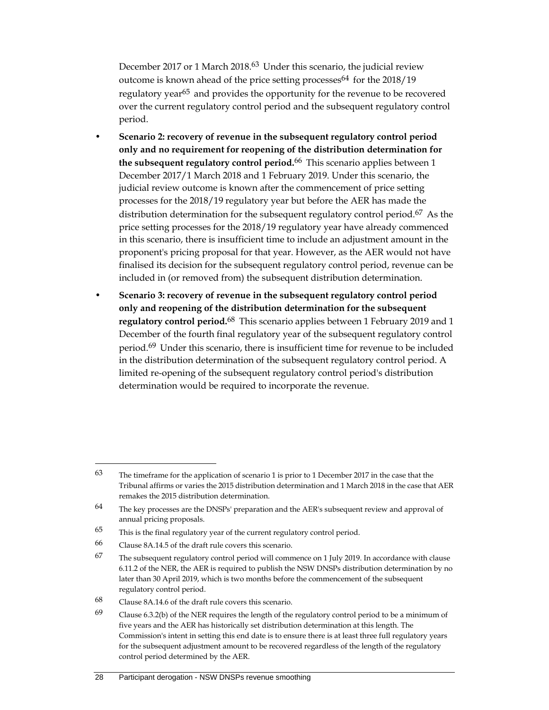December 2017 or 1 March 2018.<sup>63</sup> Under this scenario, the judicial review outcome is known ahead of the price setting processes  $64$  for the 2018/19 regulatory year<sup>65</sup> and provides the opportunity for the revenue to be recovered over the current regulatory control period and the subsequent regulatory control period.

- **Scenario 2: recovery of revenue in the subsequent regulatory control period only and no requirement for reopening of the distribution determination for the subsequent regulatory control period.**66 This scenario applies between 1 December 2017/1 March 2018 and 1 February 2019. Under this scenario, the judicial review outcome is known after the commencement of price setting processes for the 2018/19 regulatory year but before the AER has made the distribution determination for the subsequent regulatory control period.<sup>67</sup> As the price setting processes for the 2018/19 regulatory year have already commenced in this scenario, there is insufficient time to include an adjustment amount in the proponent's pricing proposal for that year. However, as the AER would not have finalised its decision for the subsequent regulatory control period, revenue can be included in (or removed from) the subsequent distribution determination.
- **Scenario 3: recovery of revenue in the subsequent regulatory control period only and reopening of the distribution determination for the subsequent regulatory control period.**68 This scenario applies between 1 February 2019 and 1 December of the fourth final regulatory year of the subsequent regulatory control period.69 Under this scenario, there is insufficient time for revenue to be included in the distribution determination of the subsequent regulatory control period. A limited re-opening of the subsequent regulatory control period's distribution determination would be required to incorporate the revenue.

<sup>63</sup> The timeframe for the application of scenario 1 is prior to 1 December 2017 in the case that the Tribunal affirms or varies the 2015 distribution determination and 1 March 2018 in the case that AER remakes the 2015 distribution determination.

<sup>64</sup> The key processes are the DNSPs' preparation and the AER's subsequent review and approval of annual pricing proposals.

<sup>65</sup> This is the final regulatory year of the current regulatory control period.

<sup>66</sup> Clause 8A.14.5 of the draft rule covers this scenario.

<sup>&</sup>lt;sup>67</sup> The subsequent regulatory control period will commence on 1 July 2019. In accordance with clause 6.11.2 of the NER, the AER is required to publish the NSW DNSPs distribution determination by no later than 30 April 2019, which is two months before the commencement of the subsequent regulatory control period.

<sup>68</sup> Clause 8A.14.6 of the draft rule covers this scenario.

<sup>69</sup> Clause 6.3.2(b) of the NER requires the length of the regulatory control period to be a minimum of five years and the AER has historically set distribution determination at this length. The Commission's intent in setting this end date is to ensure there is at least three full regulatory years for the subsequent adjustment amount to be recovered regardless of the length of the regulatory control period determined by the AER.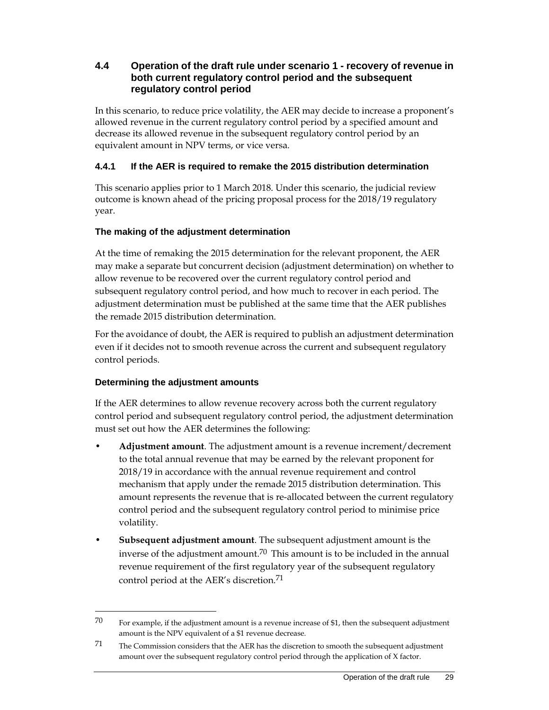### **4.4 Operation of the draft rule under scenario 1 - recovery of revenue in both current regulatory control period and the subsequent regulatory control period**

In this scenario, to reduce price volatility, the AER may decide to increase a proponent's allowed revenue in the current regulatory control period by a specified amount and decrease its allowed revenue in the subsequent regulatory control period by an equivalent amount in NPV terms, or vice versa.

### **4.4.1 If the AER is required to remake the 2015 distribution determination**

This scenario applies prior to 1 March 2018. Under this scenario, the judicial review outcome is known ahead of the pricing proposal process for the 2018/19 regulatory year.

### **The making of the adjustment determination**

At the time of remaking the 2015 determination for the relevant proponent, the AER may make a separate but concurrent decision (adjustment determination) on whether to allow revenue to be recovered over the current regulatory control period and subsequent regulatory control period, and how much to recover in each period. The adjustment determination must be published at the same time that the AER publishes the remade 2015 distribution determination.

For the avoidance of doubt, the AER is required to publish an adjustment determination even if it decides not to smooth revenue across the current and subsequent regulatory control periods.

### **Determining the adjustment amounts**

 $\overline{a}$ 

If the AER determines to allow revenue recovery across both the current regulatory control period and subsequent regulatory control period, the adjustment determination must set out how the AER determines the following:

- **Adjustment amount**. The adjustment amount is a revenue increment/decrement to the total annual revenue that may be earned by the relevant proponent for 2018/19 in accordance with the annual revenue requirement and control mechanism that apply under the remade 2015 distribution determination. This amount represents the revenue that is re-allocated between the current regulatory control period and the subsequent regulatory control period to minimise price volatility.
- **Subsequent adjustment amount**. The subsequent adjustment amount is the inverse of the adjustment amount.<sup>70</sup> This amount is to be included in the annual revenue requirement of the first regulatory year of the subsequent regulatory control period at the AER's discretion.<sup>71</sup>

 $70$  For example, if the adjustment amount is a revenue increase of \$1, then the subsequent adjustment amount is the NPV equivalent of a \$1 revenue decrease.

 $71$  The Commission considers that the AER has the discretion to smooth the subsequent adjustment amount over the subsequent regulatory control period through the application of X factor.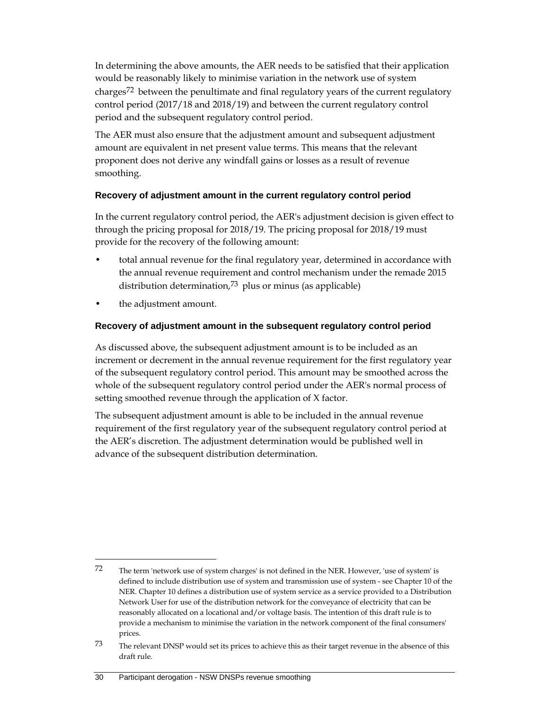In determining the above amounts, the AER needs to be satisfied that their application would be reasonably likely to minimise variation in the network use of system charges72 between the penultimate and final regulatory years of the current regulatory control period (2017/18 and 2018/19) and between the current regulatory control period and the subsequent regulatory control period.

The AER must also ensure that the adjustment amount and subsequent adjustment amount are equivalent in net present value terms. This means that the relevant proponent does not derive any windfall gains or losses as a result of revenue smoothing.

#### **Recovery of adjustment amount in the current regulatory control period**

In the current regulatory control period, the AER's adjustment decision is given effect to through the pricing proposal for 2018/19. The pricing proposal for 2018/19 must provide for the recovery of the following amount:

- total annual revenue for the final regulatory year, determined in accordance with the annual revenue requirement and control mechanism under the remade 2015 distribution determination, $73$  plus or minus (as applicable)
- the adjustment amount.

 $\overline{a}$ 

#### **Recovery of adjustment amount in the subsequent regulatory control period**

As discussed above, the subsequent adjustment amount is to be included as an increment or decrement in the annual revenue requirement for the first regulatory year of the subsequent regulatory control period. This amount may be smoothed across the whole of the subsequent regulatory control period under the AER's normal process of setting smoothed revenue through the application of X factor.

The subsequent adjustment amount is able to be included in the annual revenue requirement of the first regulatory year of the subsequent regulatory control period at the AER's discretion. The adjustment determination would be published well in advance of the subsequent distribution determination.

#### 30 Participant derogation - NSW DNSPs revenue smoothing

<sup>72</sup> The term 'network use of system charges' is not defined in the NER. However, 'use of system' is defined to include distribution use of system and transmission use of system - see Chapter 10 of the NER. Chapter 10 defines a distribution use of system service as a service provided to a Distribution Network User for use of the distribution network for the conveyance of electricity that can be reasonably allocated on a locational and/or voltage basis. The intention of this draft rule is to provide a mechanism to minimise the variation in the network component of the final consumers' prices.

<sup>73</sup> The relevant DNSP would set its prices to achieve this as their target revenue in the absence of this draft rule.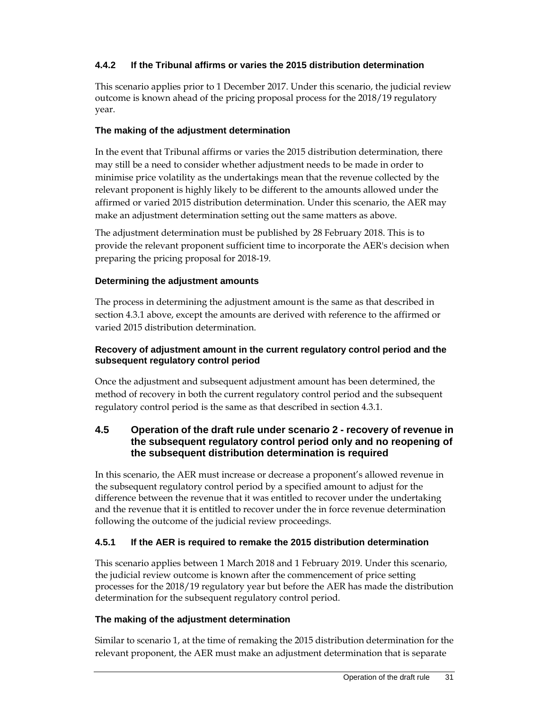### **4.4.2 If the Tribunal affirms or varies the 2015 distribution determination**

This scenario applies prior to 1 December 2017. Under this scenario, the judicial review outcome is known ahead of the pricing proposal process for the 2018/19 regulatory year.

### **The making of the adjustment determination**

In the event that Tribunal affirms or varies the 2015 distribution determination, there may still be a need to consider whether adjustment needs to be made in order to minimise price volatility as the undertakings mean that the revenue collected by the relevant proponent is highly likely to be different to the amounts allowed under the affirmed or varied 2015 distribution determination. Under this scenario, the AER may make an adjustment determination setting out the same matters as above.

The adjustment determination must be published by 28 February 2018. This is to provide the relevant proponent sufficient time to incorporate the AER's decision when preparing the pricing proposal for 2018-19.

### **Determining the adjustment amounts**

The process in determining the adjustment amount is the same as that described in section 4.3.1 above, except the amounts are derived with reference to the affirmed or varied 2015 distribution determination.

#### **Recovery of adjustment amount in the current regulatory control period and the subsequent regulatory control period**

Once the adjustment and subsequent adjustment amount has been determined, the method of recovery in both the current regulatory control period and the subsequent regulatory control period is the same as that described in section 4.3.1.

### **4.5 Operation of the draft rule under scenario 2 - recovery of revenue in the subsequent regulatory control period only and no reopening of the subsequent distribution determination is required**

In this scenario, the AER must increase or decrease a proponent's allowed revenue in the subsequent regulatory control period by a specified amount to adjust for the difference between the revenue that it was entitled to recover under the undertaking and the revenue that it is entitled to recover under the in force revenue determination following the outcome of the judicial review proceedings.

### **4.5.1 If the AER is required to remake the 2015 distribution determination**

This scenario applies between 1 March 2018 and 1 February 2019. Under this scenario, the judicial review outcome is known after the commencement of price setting processes for the 2018/19 regulatory year but before the AER has made the distribution determination for the subsequent regulatory control period.

#### **The making of the adjustment determination**

Similar to scenario 1, at the time of remaking the 2015 distribution determination for the relevant proponent, the AER must make an adjustment determination that is separate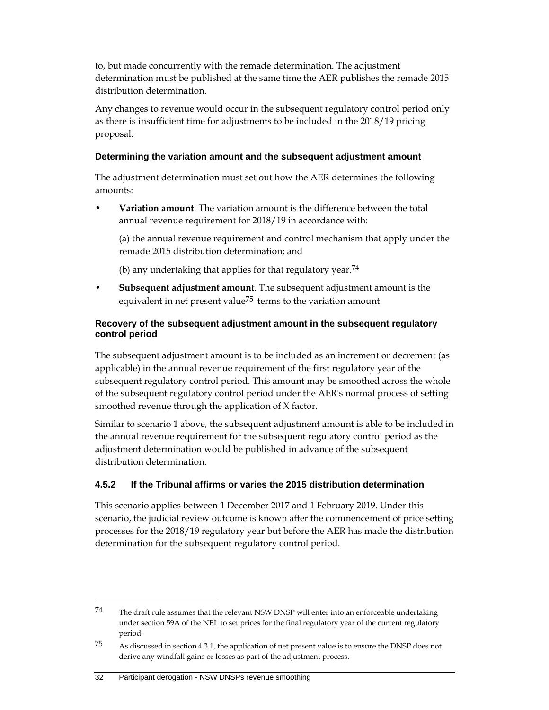to, but made concurrently with the remade determination. The adjustment determination must be published at the same time the AER publishes the remade 2015 distribution determination.

Any changes to revenue would occur in the subsequent regulatory control period only as there is insufficient time for adjustments to be included in the 2018/19 pricing proposal.

#### **Determining the variation amount and the subsequent adjustment amount**

The adjustment determination must set out how the AER determines the following amounts:

• **Variation amount**. The variation amount is the difference between the total annual revenue requirement for 2018/19 in accordance with:

 (a) the annual revenue requirement and control mechanism that apply under the remade 2015 distribution determination; and

(b) any undertaking that applies for that regulatory year.<sup>74</sup>

• **Subsequent adjustment amount**. The subsequent adjustment amount is the equivalent in net present value<sup>75</sup> terms to the variation amount.

#### **Recovery of the subsequent adjustment amount in the subsequent regulatory control period**

The subsequent adjustment amount is to be included as an increment or decrement (as applicable) in the annual revenue requirement of the first regulatory year of the subsequent regulatory control period. This amount may be smoothed across the whole of the subsequent regulatory control period under the AER's normal process of setting smoothed revenue through the application of X factor.

Similar to scenario 1 above, the subsequent adjustment amount is able to be included in the annual revenue requirement for the subsequent regulatory control period as the adjustment determination would be published in advance of the subsequent distribution determination.

#### **4.5.2 If the Tribunal affirms or varies the 2015 distribution determination**

This scenario applies between 1 December 2017 and 1 February 2019. Under this scenario, the judicial review outcome is known after the commencement of price setting processes for the 2018/19 regulatory year but before the AER has made the distribution determination for the subsequent regulatory control period.

#### 32 Participant derogation - NSW DNSPs revenue smoothing

 $74$  The draft rule assumes that the relevant NSW DNSP will enter into an enforceable undertaking under section 59A of the NEL to set prices for the final regulatory year of the current regulatory period.

<sup>75</sup> As discussed in section 4.3.1, the application of net present value is to ensure the DNSP does not derive any windfall gains or losses as part of the adjustment process.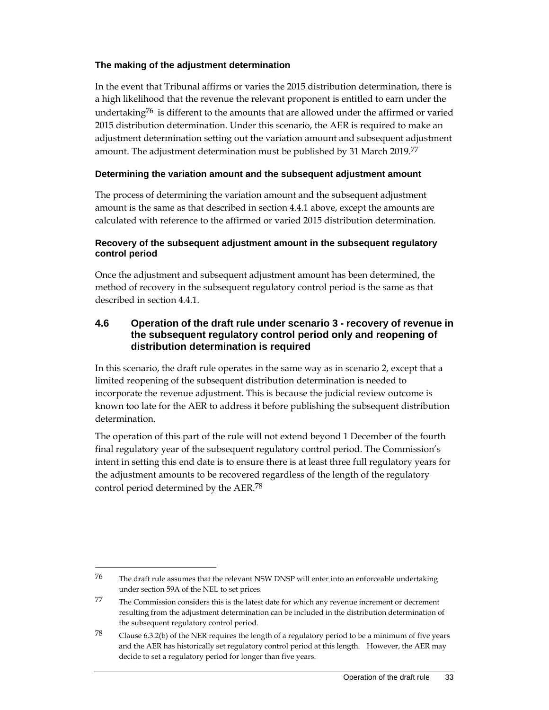#### **The making of the adjustment determination**

In the event that Tribunal affirms or varies the 2015 distribution determination, there is a high likelihood that the revenue the relevant proponent is entitled to earn under the undertaking<sup>76</sup> is different to the amounts that are allowed under the affirmed or varied 2015 distribution determination. Under this scenario, the AER is required to make an adjustment determination setting out the variation amount and subsequent adjustment amount. The adjustment determination must be published by 31 March 2019.77

#### **Determining the variation amount and the subsequent adjustment amount**

The process of determining the variation amount and the subsequent adjustment amount is the same as that described in section 4.4.1 above, except the amounts are calculated with reference to the affirmed or varied 2015 distribution determination.

#### **Recovery of the subsequent adjustment amount in the subsequent regulatory control period**

Once the adjustment and subsequent adjustment amount has been determined, the method of recovery in the subsequent regulatory control period is the same as that described in section 4.4.1.

### **4.6 Operation of the draft rule under scenario 3 - recovery of revenue in the subsequent regulatory control period only and reopening of distribution determination is required**

In this scenario, the draft rule operates in the same way as in scenario 2, except that a limited reopening of the subsequent distribution determination is needed to incorporate the revenue adjustment. This is because the judicial review outcome is known too late for the AER to address it before publishing the subsequent distribution determination.

The operation of this part of the rule will not extend beyond 1 December of the fourth final regulatory year of the subsequent regulatory control period. The Commission's intent in setting this end date is to ensure there is at least three full regulatory years for the adjustment amounts to be recovered regardless of the length of the regulatory control period determined by the AER.78

<sup>76</sup> The draft rule assumes that the relevant NSW DNSP will enter into an enforceable undertaking under section 59A of the NEL to set prices.

<sup>77</sup> The Commission considers this is the latest date for which any revenue increment or decrement resulting from the adjustment determination can be included in the distribution determination of the subsequent regulatory control period.

<sup>78</sup> Clause 6.3.2(b) of the NER requires the length of a regulatory period to be a minimum of five years and the AER has historically set regulatory control period at this length. However, the AER may decide to set a regulatory period for longer than five years.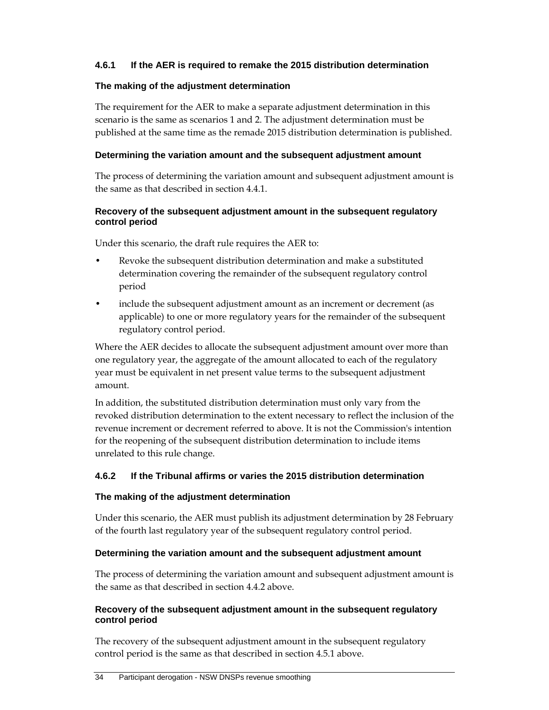#### **4.6.1 If the AER is required to remake the 2015 distribution determination**

#### **The making of the adjustment determination**

The requirement for the AER to make a separate adjustment determination in this scenario is the same as scenarios 1 and 2. The adjustment determination must be published at the same time as the remade 2015 distribution determination is published.

#### **Determining the variation amount and the subsequent adjustment amount**

The process of determining the variation amount and subsequent adjustment amount is the same as that described in section 4.4.1.

#### **Recovery of the subsequent adjustment amount in the subsequent regulatory control period**

Under this scenario, the draft rule requires the AER to:

- Revoke the subsequent distribution determination and make a substituted determination covering the remainder of the subsequent regulatory control period
- include the subsequent adjustment amount as an increment or decrement (as applicable) to one or more regulatory years for the remainder of the subsequent regulatory control period.

Where the AER decides to allocate the subsequent adjustment amount over more than one regulatory year, the aggregate of the amount allocated to each of the regulatory year must be equivalent in net present value terms to the subsequent adjustment amount.

In addition, the substituted distribution determination must only vary from the revoked distribution determination to the extent necessary to reflect the inclusion of the revenue increment or decrement referred to above. It is not the Commission's intention for the reopening of the subsequent distribution determination to include items unrelated to this rule change.

#### **4.6.2 If the Tribunal affirms or varies the 2015 distribution determination**

#### **The making of the adjustment determination**

Under this scenario, the AER must publish its adjustment determination by 28 February of the fourth last regulatory year of the subsequent regulatory control period.

#### **Determining the variation amount and the subsequent adjustment amount**

The process of determining the variation amount and subsequent adjustment amount is the same as that described in section 4.4.2 above.

#### **Recovery of the subsequent adjustment amount in the subsequent regulatory control period**

The recovery of the subsequent adjustment amount in the subsequent regulatory control period is the same as that described in section 4.5.1 above.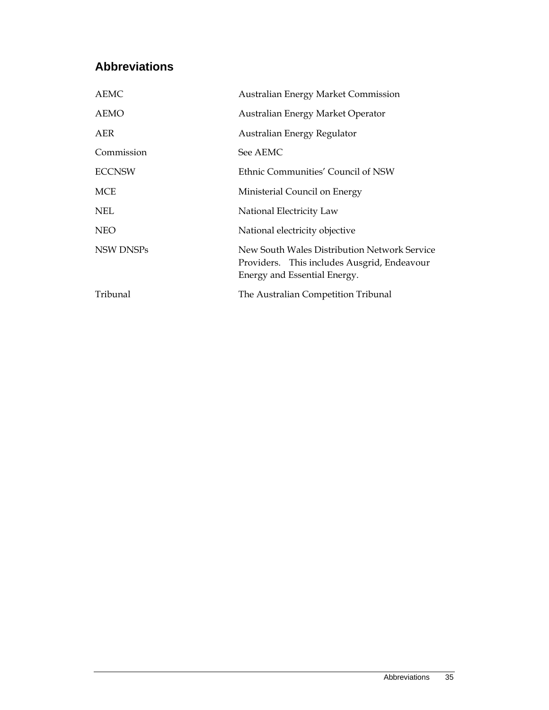# **Abbreviations**

| <b>AEMC</b>   | <b>Australian Energy Market Commission</b>                                                                                  |
|---------------|-----------------------------------------------------------------------------------------------------------------------------|
| AEMO          | Australian Energy Market Operator                                                                                           |
| AER           | Australian Energy Regulator                                                                                                 |
| Commission    | See AEMC                                                                                                                    |
| <b>ECCNSW</b> | Ethnic Communities' Council of NSW                                                                                          |
| <b>MCE</b>    | Ministerial Council on Energy                                                                                               |
| <b>NEL</b>    | National Electricity Law                                                                                                    |
| <b>NEO</b>    | National electricity objective                                                                                              |
| NSW DNSPs     | New South Wales Distribution Network Service<br>Providers. This includes Ausgrid, Endeavour<br>Energy and Essential Energy. |
| Tribunal      | The Australian Competition Tribunal                                                                                         |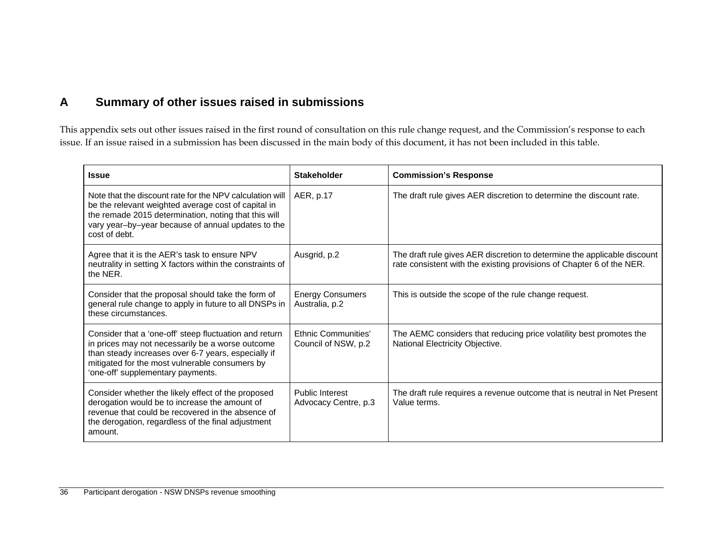# **A Summary of other issues raised in submissions**

This appendix sets out other issues raised in the first round of consultation on this rule change request, and the Commission's response to each issue. If an issue raised in a submission has been discussed in the main body of this document, it has not been included in this table.

| <b>Issue</b>                                                                                                                                                                                                                                             | <b>Stakeholder</b>                                | <b>Commission's Response</b>                                                                                                                      |
|----------------------------------------------------------------------------------------------------------------------------------------------------------------------------------------------------------------------------------------------------------|---------------------------------------------------|---------------------------------------------------------------------------------------------------------------------------------------------------|
| Note that the discount rate for the NPV calculation will<br>be the relevant weighted average cost of capital in<br>the remade 2015 determination, noting that this will<br>vary year-by-year because of annual updates to the<br>cost of debt.           | AER, p.17                                         | The draft rule gives AER discretion to determine the discount rate.                                                                               |
| Agree that it is the AER's task to ensure NPV<br>neutrality in setting X factors within the constraints of<br>the NER.                                                                                                                                   | Ausgrid, p.2                                      | The draft rule gives AER discretion to determine the applicable discount<br>rate consistent with the existing provisions of Chapter 6 of the NER. |
| Consider that the proposal should take the form of<br>general rule change to apply in future to all DNSPs in<br>these circumstances.                                                                                                                     | <b>Energy Consumers</b><br>Australia, p.2         | This is outside the scope of the rule change request.                                                                                             |
| Consider that a 'one-off' steep fluctuation and return<br>in prices may not necessarily be a worse outcome<br>than steady increases over 6-7 years, especially if<br>mitigated for the most vulnerable consumers by<br>'one-off' supplementary payments. | <b>Ethnic Communities'</b><br>Council of NSW, p.2 | The AEMC considers that reducing price volatility best promotes the<br>National Electricity Objective.                                            |
| Consider whether the likely effect of the proposed<br>derogation would be to increase the amount of<br>revenue that could be recovered in the absence of<br>the derogation, regardless of the final adjustment<br>amount.                                | <b>Public Interest</b><br>Advocacy Centre, p.3    | The draft rule requires a revenue outcome that is neutral in Net Present<br>Value terms.                                                          |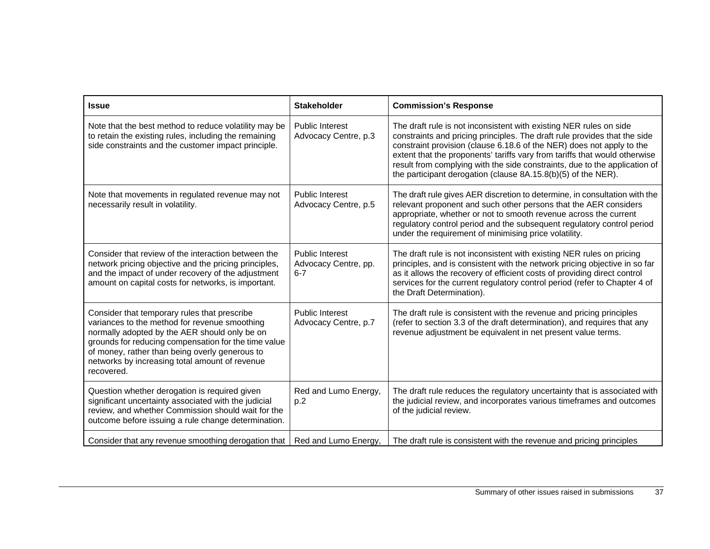| <b>Issue</b>                                                                                                                                                                                                                                                                                                             | <b>Stakeholder</b>                                        | <b>Commission's Response</b>                                                                                                                                                                                                                                                                                                                                                                                                                          |
|--------------------------------------------------------------------------------------------------------------------------------------------------------------------------------------------------------------------------------------------------------------------------------------------------------------------------|-----------------------------------------------------------|-------------------------------------------------------------------------------------------------------------------------------------------------------------------------------------------------------------------------------------------------------------------------------------------------------------------------------------------------------------------------------------------------------------------------------------------------------|
| Note that the best method to reduce volatility may be<br>to retain the existing rules, including the remaining<br>side constraints and the customer impact principle.                                                                                                                                                    | <b>Public Interest</b><br>Advocacy Centre, p.3            | The draft rule is not inconsistent with existing NER rules on side<br>constraints and pricing principles. The draft rule provides that the side<br>constraint provision (clause 6.18.6 of the NER) does not apply to the<br>extent that the proponents' tariffs vary from tariffs that would otherwise<br>result from complying with the side constraints, due to the application of<br>the participant derogation (clause 8A.15.8(b)(5) of the NER). |
| Note that movements in regulated revenue may not<br>necessarily result in volatility.                                                                                                                                                                                                                                    | <b>Public Interest</b><br>Advocacy Centre, p.5            | The draft rule gives AER discretion to determine, in consultation with the<br>relevant proponent and such other persons that the AER considers<br>appropriate, whether or not to smooth revenue across the current<br>regulatory control period and the subsequent regulatory control period<br>under the requirement of minimising price volatility.                                                                                                 |
| Consider that review of the interaction between the<br>network pricing objective and the pricing principles,<br>and the impact of under recovery of the adjustment<br>amount on capital costs for networks, is important.                                                                                                | <b>Public Interest</b><br>Advocacy Centre, pp.<br>$6 - 7$ | The draft rule is not inconsistent with existing NER rules on pricing<br>principles, and is consistent with the network pricing objective in so far<br>as it allows the recovery of efficient costs of providing direct control<br>services for the current regulatory control period (refer to Chapter 4 of<br>the Draft Determination).                                                                                                             |
| Consider that temporary rules that prescribe<br>variances to the method for revenue smoothing<br>normally adopted by the AER should only be on<br>grounds for reducing compensation for the time value<br>of money, rather than being overly generous to<br>networks by increasing total amount of revenue<br>recovered. | <b>Public Interest</b><br>Advocacy Centre, p.7            | The draft rule is consistent with the revenue and pricing principles<br>(refer to section 3.3 of the draft determination), and requires that any<br>revenue adjustment be equivalent in net present value terms.                                                                                                                                                                                                                                      |
| Question whether derogation is required given<br>significant uncertainty associated with the judicial<br>review, and whether Commission should wait for the<br>outcome before issuing a rule change determination.                                                                                                       | Red and Lumo Energy,<br>p.2                               | The draft rule reduces the regulatory uncertainty that is associated with<br>the judicial review, and incorporates various timeframes and outcomes<br>of the judicial review.                                                                                                                                                                                                                                                                         |
| Consider that any revenue smoothing derogation that                                                                                                                                                                                                                                                                      | Red and Lumo Energy,                                      | The draft rule is consistent with the revenue and pricing principles                                                                                                                                                                                                                                                                                                                                                                                  |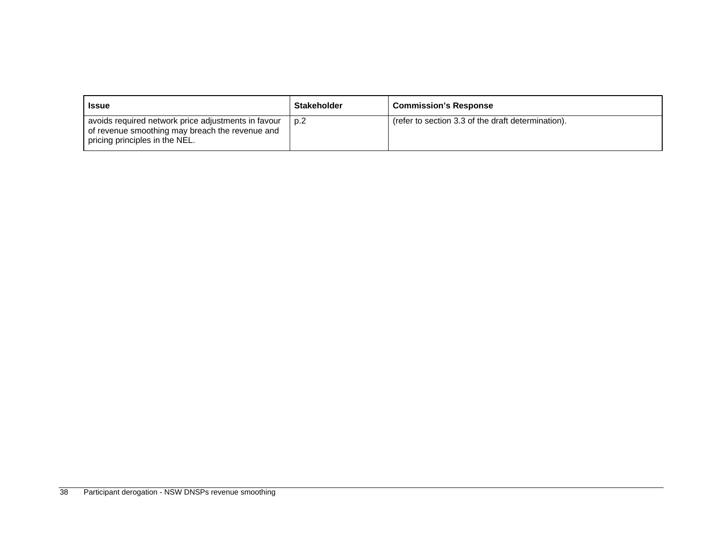| <b>Issue</b>                                                                                                                             | <b>Stakeholder</b> | <b>Commission's Response</b>                       |
|------------------------------------------------------------------------------------------------------------------------------------------|--------------------|----------------------------------------------------|
| avoids required network price adjustments in favour<br>of revenue smoothing may breach the revenue and<br>pricing principles in the NEL. | p.2                | (refer to section 3.3 of the draft determination). |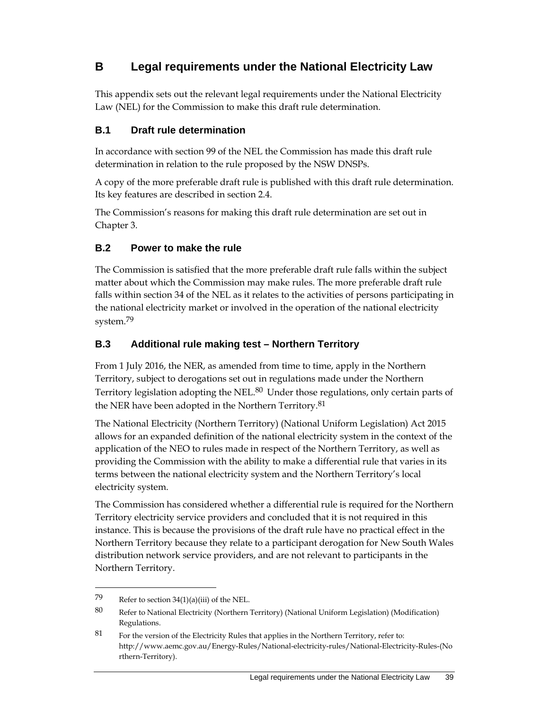# **B Legal requirements under the National Electricity Law**

This appendix sets out the relevant legal requirements under the National Electricity Law (NEL) for the Commission to make this draft rule determination.

### **B.1 Draft rule determination**

In accordance with section 99 of the NEL the Commission has made this draft rule determination in relation to the rule proposed by the NSW DNSPs.

A copy of the more preferable draft rule is published with this draft rule determination. Its key features are described in section 2.4.

The Commission's reasons for making this draft rule determination are set out in Chapter 3.

### **B.2 Power to make the rule**

The Commission is satisfied that the more preferable draft rule falls within the subject matter about which the Commission may make rules. The more preferable draft rule falls within section 34 of the NEL as it relates to the activities of persons participating in the national electricity market or involved in the operation of the national electricity system.<sup>79</sup>

### **B.3 Additional rule making test – Northern Territory**

From 1 July 2016, the NER, as amended from time to time, apply in the Northern Territory, subject to derogations set out in regulations made under the Northern Territory legislation adopting the NEL.<sup>80</sup> Under those regulations, only certain parts of the NER have been adopted in the Northern Territory.<sup>81</sup>

The National Electricity (Northern Territory) (National Uniform Legislation) Act 2015 allows for an expanded definition of the national electricity system in the context of the application of the NEO to rules made in respect of the Northern Territory, as well as providing the Commission with the ability to make a differential rule that varies in its terms between the national electricity system and the Northern Territory's local electricity system.

The Commission has considered whether a differential rule is required for the Northern Territory electricity service providers and concluded that it is not required in this instance. This is because the provisions of the draft rule have no practical effect in the Northern Territory because they relate to a participant derogation for New South Wales distribution network service providers, and are not relevant to participants in the Northern Territory.

<sup>79</sup> Refer to section  $34(1)(a)(iii)$  of the NEL.

<sup>80</sup> Refer to National Electricity (Northern Territory) (National Uniform Legislation) (Modification) Regulations.

<sup>81</sup> For the version of the Electricity Rules that applies in the Northern Territory, refer to: http://www.aemc.gov.au/Energy-Rules/National-electricity-rules/National-Electricity-Rules-(No rthern-Territory).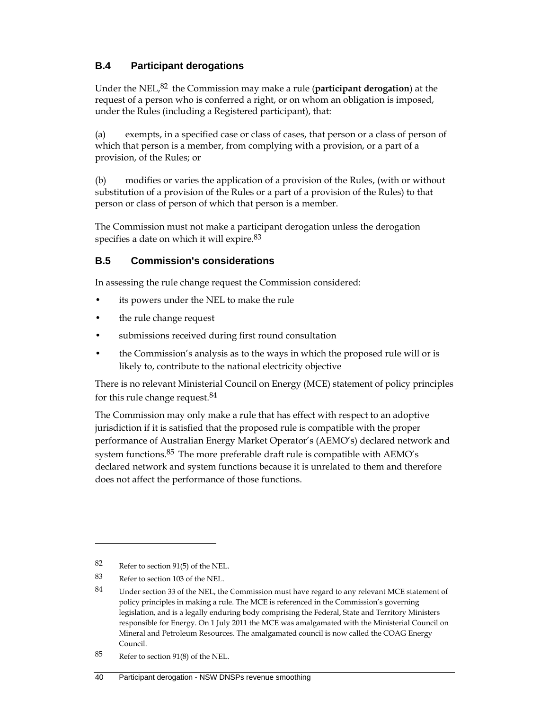### **B.4 Participant derogations**

Under the NEL,82 the Commission may make a rule (**participant derogation**) at the request of a person who is conferred a right, or on whom an obligation is imposed, under the Rules (including a Registered participant), that:

(a) exempts, in a specified case or class of cases, that person or a class of person of which that person is a member, from complying with a provision, or a part of a provision, of the Rules; or

(b) modifies or varies the application of a provision of the Rules, (with or without substitution of a provision of the Rules or a part of a provision of the Rules) to that person or class of person of which that person is a member.

The Commission must not make a participant derogation unless the derogation specifies a date on which it will expire.<sup>83</sup>

### **B.5 Commission's considerations**

In assessing the rule change request the Commission considered:

- its powers under the NEL to make the rule
- the rule change request
- submissions received during first round consultation
- the Commission's analysis as to the ways in which the proposed rule will or is likely to, contribute to the national electricity objective

There is no relevant Ministerial Council on Energy (MCE) statement of policy principles for this rule change request.84

The Commission may only make a rule that has effect with respect to an adoptive jurisdiction if it is satisfied that the proposed rule is compatible with the proper performance of Australian Energy Market Operator's (AEMO's) declared network and system functions.<sup>85</sup> The more preferable draft rule is compatible with AEMO's declared network and system functions because it is unrelated to them and therefore does not affect the performance of those functions.

<sup>82</sup> Refer to section 91(5) of the NEL.

<sup>83</sup> Refer to section 103 of the NEL.

<sup>84</sup> Under section 33 of the NEL, the Commission must have regard to any relevant MCE statement of policy principles in making a rule. The MCE is referenced in the Commission's governing legislation, and is a legally enduring body comprising the Federal, State and Territory Ministers responsible for Energy. On 1 July 2011 the MCE was amalgamated with the Ministerial Council on Mineral and Petroleum Resources. The amalgamated council is now called the COAG Energy Council.

<sup>85</sup> Refer to section 91(8) of the NEL.